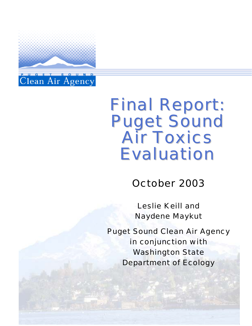

# Final Report: Puget Sound Air Toxics Evaluation

October 2003

Leslie Keill and Naydene Maykut

Puget Sound Clean Air Agency in conjunction with Washington State Department of Ecology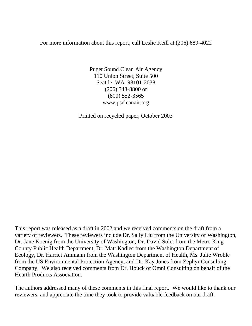For more information about this report, call Leslie Keill at (206) 689-4022

Puget Sound Clean Air Agency 110 Union Street, Suite 500 Seattle, WA 98101-2038 (206) 343-8800 or (800) 552-3565 www.pscleanair.org

Printed on recycled paper, October 2003

This report was released as a draft in 2002 and we received comments on the draft from a variety of reviewers. These reviewers include Dr. Sally Liu from the University of Washington, Dr. Jane Koenig from the University of Washington, Dr. David Solet from the Metro King County Public Health Department, Dr. Matt Kadlec from the Washington Department of Ecology, Dr. Harriet Ammann from the Washington Department of Health, Ms. Julie Wroble from the US Environmental Protection Agency, and Dr. Kay Jones from Zephyr Consulting Company. We also received comments from Dr. Houck of Omni Consulting on behalf of the Hearth Products Association.

The authors addressed many of these comments in this final report. We would like to thank our reviewers, and appreciate the time they took to provide valuable feedback on our draft.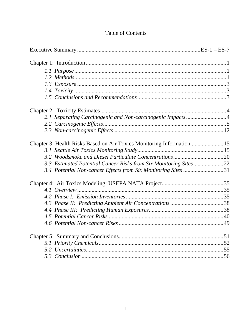# **Table of Contents**

| 2.1 Separating Carcinogenic and Non-carcinogenic Impacts4             |  |
|-----------------------------------------------------------------------|--|
|                                                                       |  |
|                                                                       |  |
| Chapter 3: Health Risks Based on Air Toxics Monitoring Information 15 |  |
|                                                                       |  |
|                                                                       |  |
| 3.3 Estimated Potential Cancer Risks from Six Monitoring Sites22      |  |
| 3.4 Potential Non-cancer Effects from Six Monitoring Sites 31         |  |
|                                                                       |  |
|                                                                       |  |
|                                                                       |  |
|                                                                       |  |
|                                                                       |  |
|                                                                       |  |
|                                                                       |  |
|                                                                       |  |
|                                                                       |  |
|                                                                       |  |
|                                                                       |  |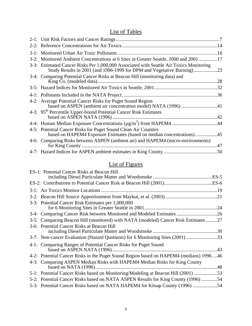## List of Tables

| 3-2: Monitored Ambient Concentrations at 6 Sites in Greater Seattle, 2000 and 2001 17                                                                           |  |
|-----------------------------------------------------------------------------------------------------------------------------------------------------------------|--|
| 3-3: Estimated Cancer Risks Per 1,000,000 Associated with Seattle Air Toxics Monitoring<br>Study Results in 2001 (and 1996-1999 for DPM and Vegetative Burning) |  |
| 3-4: Comparing Potential Cancer Risks at Beacon Hill (monitoring data) and                                                                                      |  |
|                                                                                                                                                                 |  |
|                                                                                                                                                                 |  |
| 4-2: Average Potential Cancer Risks for Puget Sound Region<br>based on ASPEN (ambient air concentration model) NATA (1996) 41                                   |  |
| 4-3: 95 <sup>th</sup> Percentile Upper-bound Potential Cancer Risk Estimates                                                                                    |  |
| 4-4: Human Median Exposure Concentrations (µg/m <sup>3</sup> ) from HAPEM444                                                                                    |  |
| 4-5: Potential Cancer Risks for Puget Sound Clean Air Counties<br>based on HAPEM4 Exposure Estimates (based on median concentrations)45                         |  |
| 4-6: Comparing Risks between ASPEN (ambient air) and HAPEM4 (micro-environments)                                                                                |  |
|                                                                                                                                                                 |  |
|                                                                                                                                                                 |  |

# List of Figures

| ES-1: Potential Cancer Risks at Beacon Hill                                            |
|----------------------------------------------------------------------------------------|
|                                                                                        |
|                                                                                        |
|                                                                                        |
| 3-3: Potential Cancer Risk Estimates per 1,000,000                                     |
| 3-4: Comparing Cancer Risk between Monitored and Modeled Estimates 26                  |
| 3-5: Comparing Beacon Hill (monitored) with NATA (modeled) Cancer Risk Estimates 27    |
| 3-6: Potential Cancer Risks at Beacon Hill                                             |
| 3-7: Non-cancer Evaluation (Hazard Quotients) for 6 Monitoring Sites (2001) 33         |
| 4-1: Comparing Ranges of Potential Cancer Risks for Puget Sound                        |
| 4-2: Potential Cancer Risks in the Puget Sound Region based on HAPEM4 (medians) 199646 |
| 4-3: Comparing ASPEN Median Risks with HAPEM4 Median Risks for King County             |
| 5-1: Potential Cancer Risks based on Monitoring/Modeling at Beacon Hill (2001) 53      |
| 5-2: Potential Cancer Risks based on NATA ASPEN Results for King County (1996) 54      |
| 5-3: Potential Cancer Risks based on NATA HAPEM4 for Kitsap County (1996) 54           |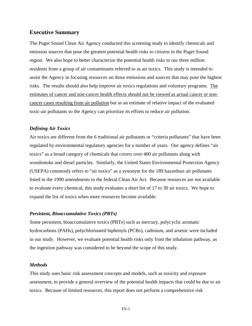#### **Executive Summary**

The Puget Sound Clean Air Agency conducted this screening study to identify chemicals and emission sources that pose the greatest potential health risks to citizens in the Puget Sound region. We also hope to better characterize the potential health risks to our three million residents from a group of air contaminants referred to as air toxics. This study is intended to assist the Agency in focusing resources on those emissions and sources that may pose the highest risks. The results should also help improve air toxics regulations and voluntary programs. The estimates of cancer and non-cancer health effects should not be viewed as actual cancer or noncancer cases resulting from air pollution but as an estimate of relative impact of the evaluated toxic-air pollutants so the Agency can prioritize its efforts to reduce air pollution.

#### *Defining Air Toxics*

Air toxics are different from the 6 traditional air pollutants or "criteria pollutants" that have been regulated by environmental regulatory agencies for a number of years. Our agency defines "air toxics" as a broad category of chemicals that covers over 400 air pollutants along with woodsmoke and diesel particles. Similarly, the United States Environmental Protection Agency (USEPA) commonly refers to "air toxics" as a synonym for the 189 hazardous air pollutants listed in the 1990 amendments to the federal Clean Air Act. Because resources are not available to evaluate every chemical, this study evaluates a short list of 17 to 30 air toxics. We hope to expand the list of toxics when more resources become available.

#### *Persistent, Bioaccumulative Toxics (PBTs)*

Some persistent, bioaccumulative toxics (PBTs) such as mercury, polycyclic aromatic hydrocarbons (PAHs), polychlorinated biphenyls (PCBs), cadmium, and arsenic were included in our study. However, we evaluate potential health risks only from the inhalation pathway, as the ingestion pathway was considered to be beyond the scope of this study.

#### *Methods*

This study uses basic risk assessment concepts and models, such as toxicity and exposure assessment, to provide a general overview of the potential health impacts that could be due to air toxics. Because of limited resources, this report does not perform a comprehensive risk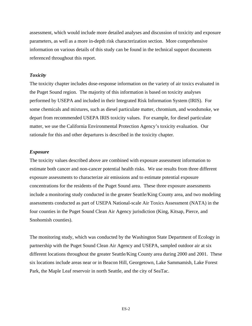assessment, which would include more detailed analyses and discussion of toxicity and exposure parameters, as well as a more in-depth risk characterization section. More comprehensive information on various details of this study can be found in the technical support documents referenced throughout this report.

#### *Toxicity*

The toxicity chapter includes dose-response information on the variety of air toxics evaluated in the Puget Sound region. The majority of this information is based on toxicity analyses performed by USEPA and included in their Integrated Risk Information System (IRIS). For some chemicals and mixtures, such as diesel particulate matter, chromium, and woodsmoke, we depart from recommended USEPA IRIS toxicity values. For example, for diesel particulate matter, we use the California Environmental Protection Agency's toxicity evaluation. Our rationale for this and other departures is described in the toxicity chapter.

#### *Exposure*

The toxicity values described above are combined with exposure assessment information to estimate both cancer and non-cancer potential health risks. We use results from three different exposure assessments to characterize air emissions and to estimate potential exposure concentrations for the residents of the Puget Sound area. These three exposure assessments include a monitoring study conducted in the greater Seattle/King County area, and two modeling assessments conducted as part of USEPA National-scale Air Toxics Assessment (NATA) in the four counties in the Puget Sound Clean Air Agency jurisdiction (King, Kitsap, Pierce, and Snohomish counties).

The monitoring study, which was conducted by the Washington State Department of Ecology in partnership with the Puget Sound Clean Air Agency and USEPA, sampled outdoor air at six different locations throughout the greater Seattle/King County area during 2000 and 2001. These six locations include areas near or in Beacon Hill, Georgetown, Lake Sammamish, Lake Forest Park, the Maple Leaf reservoir in north Seattle, and the city of SeaTac.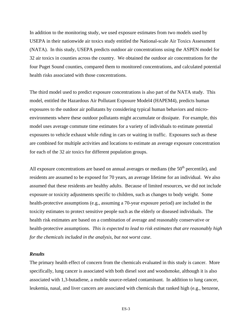In addition to the monitoring study, we used exposure estimates from two models used by USEPA in their nationwide air toxics study entitled the National-scale Air Toxics Assessment (NATA). In this study, USEPA predicts outdoor air concentrations using the ASPEN model for 32 air toxics in counties across the country. We obtained the outdoor air concentrations for the four Puget Sound counties, compared them to monitored concentrations, and calculated potential health risks associated with those concentrations.

The third model used to predict exposure concentrations is also part of the NATA study. This model, entitled the Hazardous Air Pollutant Exposure Model4 (HAPEM4), predicts human exposures to the outdoor air pollutants by considering typical human behaviors and microenvironments where these outdoor pollutants might accumulate or dissipate. For example, this model uses average commute time estimates for a variety of individuals to estimate potential exposures to vehicle exhaust while riding in cars or waiting in traffic. Exposures such as these are combined for multiple activities and locations to estimate an average exposure concentration for each of the 32 air toxics for different population groups.

All exposure concentrations are based on annual averages or medians (the  $50<sup>th</sup>$  percentile), and residents are assumed to be exposed for 70 years, an average lifetime for an individual. We also assumed that these residents are healthy adults. Because of limited resources, we did not include exposure or toxicity adjustments specific to children, such as changes to body weight. Some health-protective assumptions (e.g., assuming a 70-year exposure period) are included in the toxicity estimates to protect sensitive people such as the elderly or diseased individuals. The health risk estimates are based on a combination of average and reasonably conservative or health-protective assumptions. *This is expected to lead to risk estimates that are reasonably high for the chemicals included in the analysis, but not worst case*.

#### *Results*

The primary health effect of concern from the chemicals evaluated in this study is cancer. More specifically, lung cancer is associated with both diesel soot and woodsmoke, although it is also associated with 1,3-butadiene, a mobile source-related contaminant. In addition to lung cancer, leukemia, nasal, and liver cancers are associated with chemicals that ranked high (e.g., benzene,

ES-3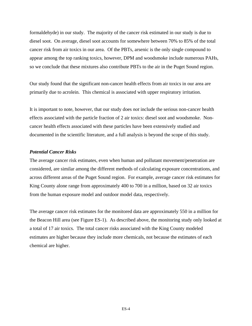formaldehyde) in our study. The majority of the cancer risk estimated in our study is due to diesel soot. On average, diesel soot accounts for somewhere between 70% to 85% of the total cancer risk from air toxics in our area. Of the PBTs, arsenic is the only single compound to appear among the top ranking toxics, however, DPM and woodsmoke include numerous PAHs, so we conclude that these mixtures also contribute PBTs to the air in the Puget Sound region.

Our study found that the significant non-cancer health effects from air toxics in our area are primarily due to acrolein. This chemical is associated with upper respiratory irritation.

It is important to note, however, that our study does *not* include the serious non-cancer health effects associated with the particle fraction of 2 air toxics: diesel soot and woodsmoke. Noncancer health effects associated with these particles have been extensively studied and documented in the scientific literature, and a full analysis is beyond the scope of this study.

#### *Potential Cancer Risks*

The average cancer risk estimates, even when human and pollutant movement/penetration are considered, are similar among the different methods of calculating exposure concentrations, and across different areas of the Puget Sound region. For example, average cancer risk estimates for King County alone range from approximately 400 to 700 in a million, based on 32 air toxics from the human exposure model and outdoor model data, respectively.

The average cancer risk estimates for the monitored data are approximately 550 in a million for the Beacon Hill area (see Figure ES-1). As described above, the monitoring study only looked at a total of 17 air toxics. The total cancer risks associated with the King County modeled estimates are higher because they include more chemicals, not because the estimates of each chemical are higher.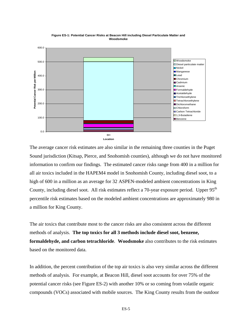

**Figure ES-1: Potential Cancer Risks at Beacon Hill including Diesel Particulate Matter and Woodsmoke**

The average cancer risk estimates are also similar in the remaining three counties in the Puget Sound jurisdiction (Kitsap, Pierce, and Snohomish counties), although we do not have monitored information to confirm our findings. The estimated cancer risks range from 400 in a million for all air toxics included in the HAPEM4 model in Snohomish County, including diesel soot, to a high of 600 in a million as an average for 32 ASPEN-modeled ambient concentrations in King County, including diesel soot. All risk estimates reflect a 70-year exposure period. Upper 95<sup>th</sup> percentile risk estimates based on the modeled ambient concentrations are approximately 980 in a million for King County.

The air toxics that contribute most to the cancer risks are also consistent across the different methods of analysis. **The top toxics for all 3 methods include diesel soot, benzene, formaldehyde, and carbon tetrachloride***.* **Woodsmoke** also contributes to the risk estimates based on the monitored data.

In addition, the percent contribution of the top air toxics is also very similar across the different methods of analysis. For example, at Beacon Hill, diesel soot accounts for over 75% of the potential cancer risks (see Figure ES-2) with another 10% or so coming from volatile organic compounds (VOCs) associated with mobile sources. The King County results from the outdoor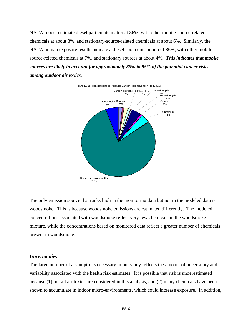NATA model estimate diesel particulate matter at 86%, with other mobile-source-related chemicals at about 8%, and stationary-source-related chemicals at about 6%. Similarly, the NATA human exposure results indicate a diesel soot contribution of 86%, with other mobilesource-related chemicals at 7%, and stationary sources at about 4%. *This indicates that mobile sources are likely to account for approximately 85% to 95% of the potential cancer risks among outdoor air toxics.*



The only emission source that ranks high in the monitoring data but not in the modeled data is woodsmoke. This is because woodsmoke emissions are estimated differently. The modeled concentrations associated with woodsmoke reflect very few chemicals in the woodsmoke mixture, while the concentrations based on monitored data reflect a greater number of chemicals present in woodsmoke.

#### *Uncertainties*

The large number of assumptions necessary in our study reflects the amount of uncertainty and variability associated with the health risk estimates. It is possible that risk is underestimated because (1) not all air toxics are considered in this analysis, and (2) many chemicals have been shown to accumulate in indoor micro-environments, which could increase exposure. In addition,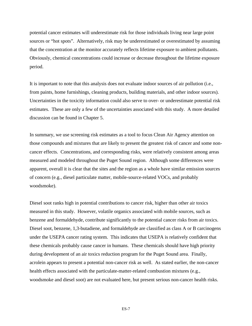potential cancer estimates will underestimate risk for those individuals living near large point sources or "hot spots". Alternatively, risk may be underestimated or overestimated by assuming that the concentration at the monitor accurately reflects lifetime exposure to ambient pollutants. Obviously, chemical concentrations could increase or decrease throughout the lifetime exposure period.

It is important to note that this analysis does not evaluate indoor sources of air pollution (i.e., from paints, home furnishings, cleaning products, building materials, and other indoor sources). Uncertainties in the toxicity information could also serve to over- or underestimate potential risk estimates. These are only a few of the uncertainties associated with this study. A more detailed discussion can be found in Chapter 5.

In summary, we use screening risk estimates as a tool to focus Clean Air Agency attention on those compounds and mixtures that are likely to present the greatest risk of cancer and some noncancer effects. Concentrations, and corresponding risks, were relatively consistent among areas measured and modeled throughout the Puget Sound region. Although some differences were apparent, overall it is clear that the sites and the region as a whole have similar emission sources of concern (e.g., diesel particulate matter, mobile-source-related VOCs, and probably woodsmoke).

Diesel soot ranks high in potential contributions to cancer risk, higher than other air toxics measured in this study. However, volatile organics associated with mobile sources, such as benzene and formaldehyde, contribute significantly to the potential cancer risks from air toxics. Diesel soot, benzene, 1,3-butadiene, and formaldehyde are classified as class A or B carcinogens under the USEPA cancer rating system. This indicates that USEPA is relatively confident that these chemicals probably cause cancer in humans. These chemicals should have high priority during development of an air toxics reduction program for the Puget Sound area. Finally, acrolein appears to present a potential non-cancer risk as well. As stated earlier, the non-cancer health effects associated with the particulate-matter-related combustion mixtures (e.g., woodsmoke and diesel soot) are not evaluated here, but present serious non-cancer health risks.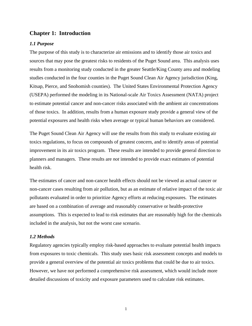#### **Chapter 1: Introduction**

#### *1.1 Purpose*

The purpose of this study is to characterize air emissions and to identify those air toxics and sources that may pose the greatest risks to residents of the Puget Sound area. This analysis uses results from a monitoring study conducted in the greater Seattle/King County area and modeling studies conducted in the four counties in the Puget Sound Clean Air Agency jurisdiction (King, Kitsap, Pierce, and Snohomish counties). The United States Environmental Protection Agency (USEPA) performed the modeling in its National-scale Air Toxics Assessment (NATA) project to estimate potential cancer and non-cancer risks associated with the ambient air concentrations of those toxics. In addition, results from a human exposure study provide a general view of the potential exposures and health risks when average or typical human behaviors are considered.

The Puget Sound Clean Air Agency will use the results from this study to evaluate existing air toxics regulations, to focus on compounds of greatest concern, and to identify areas of potential improvement in its air toxics program. These results are intended to provide general direction to planners and managers. These results are *not* intended to provide exact estimates of potential health risk.

The estimates of cancer and non-cancer health effects should not be viewed as actual cancer or non-cancer cases resulting from air pollution, but as an estimate of relative impact of the toxic air pollutants evaluated in order to prioritize Agency efforts at reducing exposures. The estimates are based on a combination of average and reasonably conservative or health-protective assumptions. This is expected to lead to risk estimates that are reasonably high for the chemicals included in the analysis, but not the worst case scenario.

#### *1.2 Methods*

Regulatory agencies typically employ risk-based approaches to evaluate potential health impacts from exposures to toxic chemicals. This study uses basic risk assessment concepts and models to provide a general overview of the potential air toxics problems that could be due to air toxics. However, we have not performed a comprehensive risk assessment, which would include more detailed discussions of toxicity and exposure parameters used to calculate risk estimates.

1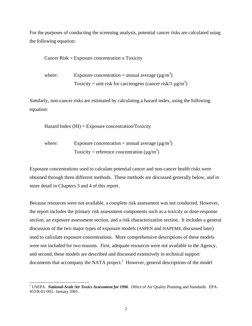For the purposes of conducting the screening analysis, potential cancer risks are calculated using the following equation:

Cancer Risk = Exposure concentration x Toxicity

where: Exposure concentration = annual average  $(\mu g/m^3)$ Toxicity = unit risk for carcinogens (cancer risk/1  $\mu$ g/m<sup>3</sup>)

Similarly, non-cancer risks are estimated by calculating a hazard index, using the following equation:

Hazard Index  $(HI)$  = Exposure concentration/Toxicity

where: Exposure concentration = annual average  $(\mu g/m^3)$ Toxicity = reference concentration ( $\mu$ g/m<sup>3</sup>)

Exposure concentrations used to calculate potential cancer and non-cancer health risks were obtained through three different methods. These methods are discussed generally below, and in more detail in Chapters 3 and 4 of this report.

Because resources were not available, a complete risk assessment was not conducted. However, the report includes the primary risk assessment components such as a toxicity or dose-response section, an exposure assessment section, and a risk characterization section. It includes a general discussion of the two major types of exposure models (ASPEN and HAPEM4, discussed later) used to calculate exposure concentrations. More comprehensive descriptions of these models were not included for two reasons. First, adequate resources were not available to the Agency, and second, these models are described and discussed extensively in technical support documents that accompany the NATA project.<sup>1</sup> However, general descriptions of the model

<sup>&</sup>lt;sup>1</sup> USEPA. *National-Scale Air Toxics Assessment for 1996*. Office of Air Quality Planning and Standards. EPA-453/R-01-003. January 2001.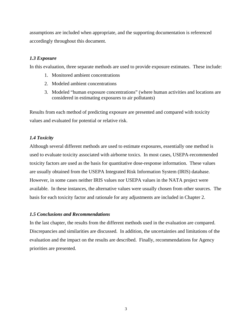assumptions are included when appropriate, and the supporting documentation is referenced accordingly throughout this document.

#### *1.3 Exposure*

In this evaluation, three separate methods are used to provide exposure estimates. These include:

- 1. Monitored ambient concentrations
- 2. Modeled ambient concentrations
- 3. Modeled "human exposure concentrations" (where human activities and locations are considered in estimating exposures to air pollutants)

Results from each method of predicting exposure are presented and compared with toxicity values and evaluated for potential or relative risk.

#### *1.4 Toxicity*

Although several different methods are used to estimate exposures, essentially one method is used to evaluate toxicity associated with airborne toxics. In most cases, USEPA-recommended toxicity factors are used as the basis for quantitative dose-response information. These values are usually obtained from the USEPA Integrated Risk Information System (IRIS) database. However, in some cases neither IRIS values nor USEPA values in the NATA project were available. In these instances, the alternative values were usually chosen from other sources. The basis for each toxicity factor and rationale for any adjustments are included in Chapter 2.

#### *1.5 Conclusions and Recommendations*

In the last chapter, the results from the different methods used in the evaluation are compared. Discrepancies and similarities are discussed. In addition, the uncertainties and limitations of the evaluation and the impact on the results are described. Finally, recommendations for Agency priorities are presented.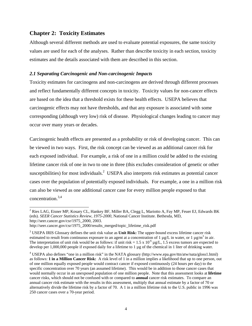#### **Chapter 2: Toxicity Estimates**

Although several different methods are used to evaluate potential exposures, the same toxicity values are used for each of the analyses. Rather than describe toxicity in each section, toxicity estimates and the details associated with them are described in this section.

#### *2.1 Separating Carcinogenic and Non-carcinogenic Impacts*

Toxicity estimates for carcinogens and non-carcinogens are derived through different processes and reflect fundamentally different concepts in toxicity. Toxicity values for non-cancer effects are based on the idea that a threshold exists for these health effects. USEPA believes that carcinogenic effects may not have thresholds, and that any exposure is associated with some corresponding (although very low) risk of disease. Physiological changes leading to cancer may occur over many years or decades.

Carcinogenic health effects are presented as a probability or risk of developing cancer. This can be viewed in two ways. First, the risk concept can be viewed as an additional cancer risk for each exposed individual. For example, a risk of one in a million could be added to the existing lifetime cancer risk of one in two to one in three (this excludes consideration of genetic or other susceptibilities) for most individuals.<sup>2</sup> USEPA also interprets risk estimates as potential cancer cases over the population of potentially exposed individuals. For example, a one in a million risk can also be viewed as one additional cancer case for every million people exposed to that concentration.3,4

<sup>&</sup>lt;sup>2</sup> Ries LAG, Eisner MP, Kosary CL, Hankey BF, Miller BA, Clegg L, Mariotto A, Fay MP, Feuer EJ, Edwards BK (eds). *SEER Cancer Statistics Review, 1975-2000*, National Cancer Institute. Bethesda, MD, http://seer.cancer.gov/csr/1975\_2000, 2003.

http://seer.cancer.gov/csr/1975\_2000/results\_merged/topic\_lifetime\_risk.pdf

<sup>3</sup> USEPA IRIS Glossary defines the unit risk value as **Unit Risk:** The upper-bound excess lifetime cancer risk estimated to result from continuous exposure to an agent at a concentration of 1  $\mu$ g/L in water, or 1  $\mu$ g/m<sup>3</sup> in air. The interpretation of unit risk would be as follows: if unit risk =  $1.5 \times 10^{-6}$  µg/L, 1.5 excess tumors are expected to develop per 1,000,000 people if exposed daily for a lifetime to 1 µg of the chemical in 1 liter of drinking water.

<sup>&</sup>lt;sup>4</sup> USEPA also defines "one in a million risk" in the NATA glossary (http://www.epa.gov/ttn/atw/nata/gloss1.html) as follows: **1 in a Million Cancer Risk:** A risk level of 1 in a million implies a likelihood that up to one person, out of one million equally exposed people would contract cancer if exposed continuously (24 hours per day) to the specific concentration over 70 years (an assumed lifetime). This would be in addition to those cancer cases that would normally occur in an unexposed population of one million people. Note that this assessment looks at **lifetime** cancer risks, which should not be confused with or compared to **annual** cancer risk estimates. To compare an annual cancer risk estimate with the results in this assessment, multiply that annual estimate by a factor of 70 or alternatively divide the lifetime risk by a factor of 70. A 1 in a million lifetime risk to the U.S. public in 1996 was 250 cancer cases over a 70-year period.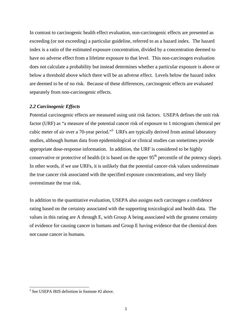In contrast to carcinogenic health effect evaluation, non-carcinogenic effects are presented as exceeding (or not exceeding) a particular guideline, referred to as a hazard index. The hazard index is a ratio of the estimated exposure concentration, divided by a concentration deemed to have no adverse effect from a lifetime exposure to that level. This non-carcinogen evaluation does not calculate a probability but instead determines whether a particular exposure is above or below a threshold above which there will be an adverse effect. Levels below the hazard index are deemed to be of no risk. Because of these differences, carcinogenic effects are evaluated separately from non-carcinogenic effects.

#### *2.2 Carcinogenic Effects*

Potential carcinogenic effects are measured using unit risk factors. USEPA defines the unit risk factor (URF) as "a measure of the potential cancer risk of exposure to 1 microgram chemical per cubic meter of air over a 70-year period."<sup>5</sup> URFs are typically derived from animal laboratory studies, although human data from epidemiological or clinical studies can sometimes provide appropriate dose-response information. In addition, the URF is considered to be highly conservative or protective of health (it is based on the upper  $95<sup>th</sup>$  percentile of the potency slope). In other words, if we use URFs, it is unlikely that the potential cancer-risk values underestimate the true cancer risk associated with the specified exposure concentrations, and very likely overestimate the true risk.

In addition to the quantitative evaluation, USEPA also assigns each carcinogen a confidence rating based on the certainty associated with the supporting toxicological and health data. The values in this rating are A through E, with Group A being associated with the greatest certainty of evidence for causing cancer in humans and Group E having evidence that the chemical does not cause cancer in humans.

<sup>&</sup>lt;sup>5</sup> See USEPA IRIS definition in footnote #2 above.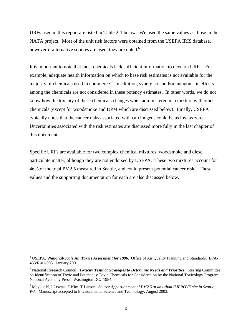URFs used in this report are listed in Table 2-1 below. We used the same values as those in the NATA project. Most of the unit risk factors were obtained from the USEPA IRIS database, however if alternative sources are used, they are noted.<sup>6</sup>

It is important to note that most chemicals lack sufficient information to develop URFs. For example, adequate health information on which to base risk estimates is not available for the majority of chemicals used in commerce.<sup>7</sup> In addition, synergistic and/or antagonistic effects among the chemicals are not considered in these potency estimates. In other words, we do not know how the toxicity of these chemicals changes when administered in a mixture with other chemicals (except for woodsmoke and DPM which are discussed below). Finally, USEPA typically notes that the cancer risks associated with carcinogens could be as low as zero. Uncertainties associated with the risk estimates are discussed more fully in the last chapter of this document.

Specific URFs are available for two complex chemical mixtures, woodsmoke and diesel particulate matter, although they are not endorsed by USEPA. These two mixtures account for 46% of the total PM2.5 measured in Seattle, and could present potential cancer risk.<sup>8</sup> These values and the supporting documentation for each are also discussed below.

<sup>&</sup>lt;sup>6</sup> USEPA. *National-Scale Air Toxics Assessment for 1996*. Office of Air Quality Planning and Standards. EPA-453/R-01-003. January 2001.

<sup>7</sup> National Research Council. *Toxicity Testing: Strategies to Determine Needs and Priorities*. Steering Committee on Identification of Toxic and Potentially Toxic Chemicals for Consideration by the National Toxicology Program. National Academy Press. Washington DC. 1984.

<sup>8</sup> Maykut N, J Lewtas, E Kim, T Larson. *Source Apportionment of PM2.5 at an urban IMPROVE site in Seattle, WA.* Manuscript accepted to Environmental Science and Technology, August 2003.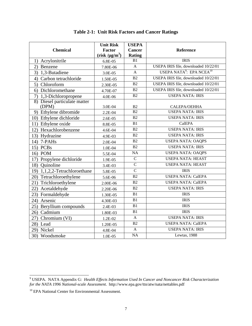|                                       | <b>Unit Risk</b>   | <b>USEPA</b>    |                                                  |
|---------------------------------------|--------------------|-----------------|--------------------------------------------------|
| <b>Chemical</b>                       | <b>Factor</b>      | <b>Cancer</b>   | Reference                                        |
|                                       | $(risk/\mu g/m^3)$ | Rating          |                                                  |
| 1) Acrylonitrile                      | 6.8E-05            | B1              | <b>IRIS</b>                                      |
| 2) Benzene                            | 7.80E-06           | $\overline{A}$  | USEPA IRIS file, downloaded 10/22/01             |
| 3) 1,3-Butadiene                      | 3.0E-05            | $\overline{A}$  | USEPA NATA <sup>9</sup> : EPA NCEA <sup>10</sup> |
| 4) Carbon tetrachloride               | 1.50E-05           | B2              | USEPA IRIS file, downloaded 10/22/01             |
| 5) Chloroform                         | 2.30E-05           | B2              | USEPA IRIS file, downloaded 10/22/01             |
| 6) Dichloromethane                    | 4.70E-07           | B <sub>2</sub>  | USEPA IRIS file, downloaded 10/22/01             |
| 7) 1,3-Dichloropropene                | 4.0E-06            | B2              | <b>USEPA NATA: IRIS</b>                          |
| 8) Diesel particulate matter<br>(DPM) | 3.0E-04            | B2              | CALEPA/OEHHA                                     |
| 9) Ethylene dibromide                 | 2.2E-04            | B <sub>2</sub>  | <b>USEPA NATA: IRIS</b>                          |
| 10) Ethylene dichloride               | 2.6E-05            | B <sub>2</sub>  | <b>USEPA NATA: IRIS</b>                          |
| 11) Ethylene oxide                    | 8.8E-05            | B1              | CalEPA                                           |
| 12) Hexachlorobenzene                 | 4.6E-04            | B <sub>2</sub>  | <b>USEPA NATA: IRIS</b>                          |
| 13) Hydrazine                         | 4.9E-03            | B2              | <b>USEPA NATA: IRIS</b>                          |
| 14) 7-PAHs                            | 2.0E-04            | B2              | <b>USEPA NATA: OAQPS</b>                         |
| 15) PCBs                              | 1.0E-04            | B2              | <b>USEPA NATA: IRIS</b>                          |
| 16) POM                               | 5.5E-04            | NA              | <b>USEPA NATA: OAQPS</b>                         |
| 17) Propylene dichloride              | 1.9E-05            | $\overline{C}$  | <b>USEPA NATA: HEAST</b>                         |
| 18) Quinoline                         | 3.4E-03            | $\overline{C}$  | <b>USEPA NATA: HEAST</b>                         |
| 19) 1,1,2,2-Tetrachloroethane         | 5.8E-05            | $\overline{C}$  | <b>IRIS</b>                                      |
| 20) Tetrachloroethylene               | 5.6E-06            | B2              | <b>USEPA NATA: CalEPA</b>                        |
| 21) Trichloroethylene                 | 2.00E-06           | B <sub>2</sub>  | <b>USEPA NATA: CalEPA</b>                        |
| 22) Acetaldehyde                      | 2.20E-06           | B <sub>2</sub>  | <b>USEPA NATA: IRIS</b>                          |
| 23) Formaldehyde                      | 1.30E-05           | B1              | <b>IRIS</b>                                      |
| Arsenic<br>24)                        | 4.30E-03           | B1              | <b>IRIS</b>                                      |
| 25) Beryllium compounds               | 2.4E-03            | B1              | <b>IRIS</b>                                      |
| 26) Cadmium                           | 1.80E-03           | B1              | <b>IRIS</b>                                      |
| $\overline{27}$ ) Chromium (VI)       | 1.2E-02            | $\mathbf{A}$    | <b>USEPA NATA: IRIS</b>                          |
| 28) Lead                              | 1.20E-05           | B2              | <b>USEPA NATA: CalEPA</b>                        |
| 29) Nickel                            | 4.8E-04            | $\mathbf{A}$    | <b>USEPA NATA: IRIS</b>                          |
| 30) Woodsmoke                         | 1.0E-05            | $\overline{NA}$ | Lewtas, 1988                                     |

#### **Table 2-1: Unit Risk Factors and Cancer Ratings**

 9 USEPA. NATA Appendix G: *Health Effects Information Used In Cancer and Noncancer Risk Characterization for the NATA 1996 National-scale Assessment*. http://www.epa.gov/ttn/atw/nata/nettables.pdf

<sup>&</sup>lt;sup>10</sup> EPA National Center for Environmental Assessment.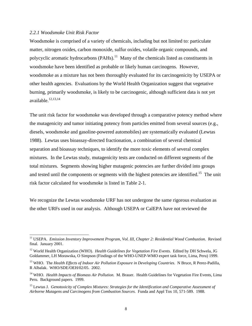#### *2.2.1 Woodsmoke Unit Risk Factor*

 $\overline{a}$ 

Woodsmoke is comprised of a variety of chemicals, including but not limited to: particulate matter, nitrogen oxides, carbon monoxide, sulfur oxides, volatile organic compounds, and polycyclic aromatic hydrocarbons  $(PAHs)$ .<sup>11</sup> Many of the chemicals listed as constituents in woodsmoke have been identified as probable or likely human carcinogens. However, woodsmoke as a mixture has not been thoroughly evaluated for its carcinogenicity by USEPA or other health agencies. Evaluations by the World Health Organization suggest that vegetative burning, primarily woodsmoke, is likely to be carcinogenic, although sufficient data is not yet available.<sup>12,13,14</sup>

The unit risk factor for woodsmoke was developed through a comparative potency method where the mutagenicity and tumor initiating potency from particles emitted from several sources (e.g., diesels, woodsmoke and gasoline-powered automobiles) are systematically evaluated (Lewtas 1988). Lewtas uses bioassay-directed fractionation, a combination of several chemical separation and bioassay techniques, to identify the more toxic elements of several complex mixtures. In the Lewtas study, mutagenicity tests are conducted on different segments of the total mixtures. Segments showing higher mutagenic potencies are further divided into groups and tested until the components or segments with the highest potencies are identified.<sup>15</sup> The unit risk factor calculated for woodsmoke is listed in Table 2-1.

We recognize the Lewtas woodsmoke URF has not undergone the same rigorous evaluation as the other URFs used in our analysis. Although USEPA or CalEPA have not reviewed the

<sup>11</sup> USEPA. *Emission Inventory Improvement Program, Vol. III, Chapter 2: Residential Wood Combustion*. Revised final. January 2001.

<sup>&</sup>lt;sup>12</sup> World Health Organization (WHO). *Health Guidelines for Vegetation Fire Events*. Edited by DH Schwela, JG Goldammer, LH Morawska, O Simpson (Findings of the WHO-UNEP-WMO expert task force, Lima, Peru) 1999.

<sup>&</sup>lt;sup>13</sup> WHO. The *Health Effects of Indoor Air Pollution Exposure in Developing Countries*. N Bruce, R Perez-Padilla, R Albalak. WHO/SDE/OEH/02/05. 2002.

<sup>&</sup>lt;sup>14</sup> WHO. *Health Impacts of Biomass Air Pollution*. M. Brauer. Health Guidelines for Vegetation Fire Events, Lima Peru. Background papers. 1999.

<sup>15</sup> Lewtas J. *Genotoxicity of Complex Mixtures: Strategies for the Identification and Comparative Assessment of Airborne Mutagens and Carcinogens from Combustion Sources*. Funda and Appl Tox 10, 571-589. 1988.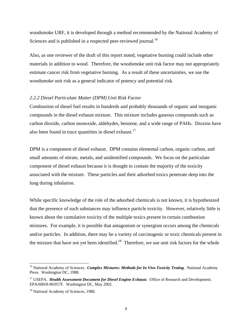woodsmoke URF, it is developed through a method recommended by the National Academy of Sciences and is published in a respected peer-reviewed journal.<sup>16</sup>

Also, as one reviewer of the draft of this report noted, vegetative burning could include other materials in addition to wood. Therefore, the woodsmoke unit risk factor may not appropriately estimate cancer risk from vegetative burning. As a result of these uncertainties, we use the woodsmoke unit risk as a general indicator of potency and potential risk.

#### *2.2.2 Diesel Particulate Matter (DPM) Unit Risk Factor*

Combustion of diesel fuel results in hundreds and probably thousands of organic and inorganic compounds in the diesel exhaust mixture. This mixture includes gaseous compounds such as carbon dioxide, carbon monoxide, aldehydes, benzene, and a wide range of PAHs. Dioxins have also been found in trace quantities in diesel exhaust.<sup>17</sup>

DPM is a component of diesel exhaust. DPM contains elemental carbon, organic carbon, and small amounts of nitrate, metals, and unidentified compounds. We focus on the particulate component of diesel exhaust because it is thought to contain the majority of the toxicity associated with the mixture. These particles and their adsorbed toxics penetrate deep into the lung during inhalation.

While specific knowledge of the role of the adsorbed chemicals is not known, it is hypothesized that the presence of such substances may influence particle toxicity. However, relatively little is known about the cumulative toxicity of the multiple toxics present in certain combustion mixtures. For example, it is possible that antagonism or synergism occurs among the chemicals and/or particles. In addition, there may be a variety of carcinogenic or toxic chemicals present in the mixture that have not yet been identified.<sup>18</sup> Therefore, we use unit risk factors for the whole

<sup>&</sup>lt;sup>16</sup> National Academy of Sciences. *Complex Mixtures: Methods for In Vivo Toxicity Testing*. National Academy Press. Washington DC, 1988.

<sup>&</sup>lt;sup>17</sup> USEPA. *Health Assessment Document for Diesel Engine Exhaust*. Office of Research and Development. EPA/600/8-90/057F. Washington DC, May 2002.

<sup>&</sup>lt;sup>18</sup> National Academy of Sciences, 1988.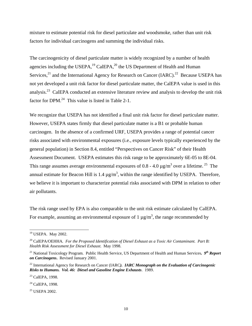mixture to estimate potential risk for diesel particulate and woodsmoke, rather than unit risk factors for individual carcinogens and summing the individual risks.

The carcinogenicity of diesel particulate matter is widely recognized by a number of health agencies including the USEPA, $^{19}$  CalEPA, $^{20}$  the US Department of Health and Human Services,<sup>21</sup> and the International Agency for Research on Cancer (IARC).<sup>22</sup> Because USEPA has not yet developed a unit risk factor for diesel particulate matter, the CalEPA value is used in this analysis.23 CalEPA conducted an extensive literature review and analysis to develop the unit risk factor for DPM.<sup>24</sup> This value is listed in Table 2-1.

We recognize that USEPA has not identified a final unit risk factor for diesel particulate matter. However, USEPA states firmly that diesel particulate matter is a B1 or probable human carcinogen. In the absence of a confirmed URF, USEPA provides a range of potential cancer risks associated with environmental exposures (i.e., exposure levels typically experienced by the general population) in Section 8.4, entitled "Perspectives on Cancer Risk" of their Health Assessment Document. USEPA estimates this risk range to be approximately 6E-05 to 8E-04. This range assumes average environmental exposures of 0.8 - 4.0  $\mu$ g/m<sup>3</sup> over a lifetime.<sup>25</sup> The annual estimate for Beacon Hill is  $1.4 \mu g/m^3$ , within the range identified by USEPA. Therefore, we believe it is important to characterize potential risks associated with DPM in relation to other air pollutants.

The risk range used by EPA is also comparable to the unit risk estimate calculated by CalEPA. For example, assuming an environmental exposure of 1  $\mu$ g/m<sup>3</sup>, the range recommended by

<sup>&</sup>lt;sup>19</sup> USEPA. May 2002.

<sup>20</sup> CalEPA/OEHHA*. For the Proposed Identification of Diesel Exhaust as a Toxic Air Contaminant. Part B: Health Risk Assessment for Diesel Exhaust*. May 1998.

<sup>21</sup> National Toxicology Program. Public Health Service, US Department of Health and Human Services**.** *9th Report on Carcinogens***.** Revised January 2001.

<sup>22</sup> International Agency for Research on Cancer (IARC*). IARC Monograph on the Evaluation of Carcinogenic Risks to Humans. Vol. 46: Diesel and Gasoline Engine Exhausts*. 1989.

<sup>&</sup>lt;sup>23</sup> CalEPA, 1998.

<sup>&</sup>lt;sup>24</sup> CalEPA, 1998.

<sup>25</sup> USEPA 2002.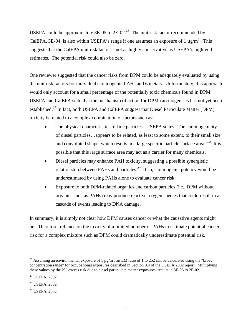USEPA could be approximately 8E-05 to  $2E-02<sup>26</sup>$  The unit risk factor recommended by CalEPA, 3E-04, is also within USEPA's range if one assumes an exposure of 1  $\mu$ g/m<sup>3</sup>. This suggests that the CalEPA unit risk factor is not as highly conservative as USEPA's high-end estimates. The potential risk could also be zero.

One reviewer suggested that the cancer risks from DPM could be adequately evaluated by using the unit risk factors for individual carcinogenic PAHs and 6 metals. Unfortunately, this approach would only account for a small percentage of the potentially toxic chemicals found in DPM. USEPA and CalEPA state that the mechanism of action for DPM carcinogenesis has not yet been established.<sup>27</sup> In fact, both USEPA and CalEPA suggest that Diesel Particulate Matter (DPM) toxicity is related to a complex combination of factors such as:

- The physical characteristics of fine particles. USEPA states "The carcinogenicity of diesel particles…appears to be related, as least to some extent, to their small size and convoluted shape, which results in a large specific particle surface area."<sup>28</sup> It is possible that this large surface area may act as a carrier for many chemicals.
- Diesel particles may enhance PAH toxicity, suggesting a possible synergistic relationship between PAHs and particles.<sup>29</sup> If so, carcinogenic potency would be underestimated by using PAHs alone to evaluate cancer risk.
- Exposure to both DPM-related organics and carbon particles (i.e., DPM without organics such as PAHs) may produce reactive oxygen species that could result in a cascade of events leading to DNA damage.

In summary, it is simply not clear how DPM causes cancer or what the causative agents might be. Therefore, reliance on the toxicity of a limited number of PAHs to estimate potential cancer risk for a complex mixture such as DPM could dramatically underestimate potential risk.

l

<sup>&</sup>lt;sup>26</sup> Assuming an environmental exposure of 1  $\mu$ g/m<sup>3</sup>, an EM ratio of 1 to 252 can be calculated using the "broad concentration range" for occupational exposures described in Section 8.4 of the USEPA 2002 report. Multiplying these values by the 2% excess risk due to diesel particulate matter exposures, results in 8E-05 to 2E-02.

<sup>27</sup> USEPA, 2002.

<sup>28</sup> USEPA, 2002.

<sup>29</sup> USEPA, 2002.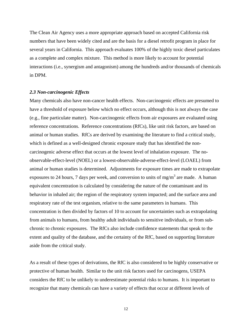The Clean Air Agency uses a more appropriate approach based on accepted California risk numbers that have been widely cited and are the basis for a diesel retrofit program in place for several years in California. This approach evaluates 100% of the highly toxic diesel particulates as a complete and complex mixture. This method is more likely to account for potential interactions (i.e., synergism and antagonism) among the hundreds and/or thousands of chemicals in DPM.

#### *2.3 Non-carcinogenic Effects*

Many chemicals also have non-cancer health effects. Non-carcinogenic effects are presumed to have a threshold of exposure below which no effect occurs, although this is not always the case (e.g., fine particulate matter). Non-carcinogenic effects from air exposures are evaluated using reference concentrations. Reference concentrations (RfCs), like unit risk factors, are based on animal or human studies. RfCs are derived by examining the literature to find a critical study, which is defined as a well-designed chronic exposure study that has identified the noncarcinogenic adverse effect that occurs at the lowest level of inhalation exposure. The noobservable-effect-level (NOEL) or a lowest-observable-adverse-effect-level (LOAEL) from animal or human studies is determined. Adjustments for exposure times are made to extrapolate exposures to 24 hours, 7 days per week, and conversion to units of mg/m<sup>3</sup> are made. A human equivalent concentration is calculated by considering the nature of the contaminant and its behavior in inhaled air; the region of the respiratory system impacted; and the surface area and respiratory rate of the test organism, relative to the same parameters in humans. This concentration is then divided by factors of 10 to account for uncertainties such as extrapolating from animals to humans, from healthy adult individuals to sensitive individuals, or from subchronic to chronic exposures. The RfCs also include confidence statements that speak to the extent and quality of the database, and the certainty of the RfC, based on supporting literature aside from the critical study.

As a result of these types of derivations, the RfC is also considered to be highly conservative or protective of human health. Similar to the unit risk factors used for carcinogens, USEPA considers the RfC to be unlikely to underestimate potential risks to humans. It is important to recognize that many chemicals can have a variety of effects that occur at different levels of

12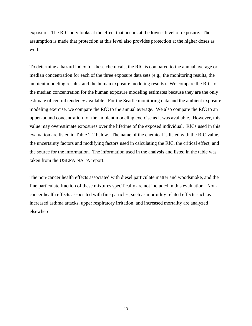exposure. The RfC only looks at the effect that occurs at the lowest level of exposure. The assumption is made that protection at this level also provides protection at the higher doses as well.

To determine a hazard index for these chemicals, the RfC is compared to the annual average or median concentration for each of the three exposure data sets (e.g., the monitoring results, the ambient modeling results, and the human exposure modeling results). We compare the RfC to the median concentration for the human exposure modeling estimates because they are the only estimate of central tendency available. For the Seattle monitoring data and the ambient exposure modeling exercise, we compare the RfC to the annual average. We also compare the RfC to an upper-bound concentration for the ambient modeling exercise as it was available. However, this value may overestimate exposures over the lifetime of the exposed individual. RfCs used in this evaluation are listed in Table 2-2 below. The name of the chemical is listed with the RfC value, the uncertainty factors and modifying factors used in calculating the RfC, the critical effect, and the source for the information. The information used in the analysis and listed in the table was taken from the USEPA NATA report.

The non-cancer health effects associated with diesel particulate matter and woodsmoke, and the fine particulate fraction of these mixtures specifically are not included in this evaluation. Noncancer health effects associated with fine particles, such as morbidity related effects such as increased asthma attacks, upper respiratory irritation, and increased mortality are analyzed elsewhere.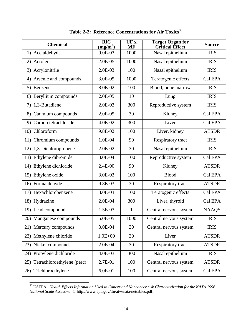| <b>Chemical</b>                | <b>RfC</b><br>$\left(\frac{mg}{m^3}\right)$ | UF X<br>MF   | <b>Target Organ for</b><br><b>Critical Effect</b> | <b>Source</b> |
|--------------------------------|---------------------------------------------|--------------|---------------------------------------------------|---------------|
| 1) Acetaldehyde                | 9.0E-03                                     | 1000         | Nasal epithelium                                  | <b>IRIS</b>   |
| 2) Acrolein                    | 2.0E-05                                     | 1000         | Nasal epithelium                                  | <b>IRIS</b>   |
| Acrylonitrile<br>3)            | 2.0E-03                                     | 100          | Nasal epithelium                                  | <b>IRIS</b>   |
| Arsenic and compounds<br>4)    | 3.0E-05                                     | 1000         | Teratogenic effects                               | Cal EPA       |
| 5) Benzene                     | 8.0E-02                                     | 100          | Blood, bone marrow                                | <b>IRIS</b>   |
| Beryllium compounds<br>6)      | 2.0E-05                                     | 10           | Lung                                              | <b>IRIS</b>   |
| 1,3-Butadiene<br>7)            | 2.0E-03                                     | 300          | Reproductive system                               | <b>IRIS</b>   |
| 8) Cadmium compounds           | $2.0E-05$                                   | 30           | Kidney                                            | Cal EPA       |
| 9) Carbon tetrachloride        | 4.0E-02                                     | 300          | Liver                                             | Cal EPA       |
| 10) Chloroform                 | 9.8E-02                                     | 100          | Liver, kidney                                     | <b>ATSDR</b>  |
| 11) Chromium compounds         | 1.0E-04                                     | 90           | Respiratory tract                                 | <b>IRIS</b>   |
| 12) 1,3-Dichloropropene        | 2.0E-02                                     | 30           | Nasal epithelium                                  | <b>IRIS</b>   |
| 13) Ethylene dibromide         | 8.0E-04                                     | 100          | Reproductive system                               | Cal EPA       |
| 14) Ethylene dichloride        | 2.4E-00                                     | 90           | Kidney                                            | <b>ATSDR</b>  |
| 15) Ethylene oxide             | 3.0E-02                                     | 100          | <b>Blood</b>                                      | Cal EPA       |
| 16) Formaldehyde               | 9.8E-03                                     | 30           | Respiratory tract                                 | <b>ATSDR</b>  |
| 17) Hexachlorobenzene          | 3.0E-03                                     | 100          | Teratogenic effects                               | Cal EPA       |
| 18) Hydrazine                  | 2.0E-04                                     | 300          | Liver, thyroid                                    | Cal EPA       |
| 19) Lead compounds             | 1.5E-03                                     | $\mathbf{1}$ | Central nervous system                            | <b>NAAQS</b>  |
| 20) Manganese compounds        | 5.0E-05                                     | 1000         | Central nervous system                            | <b>IRIS</b>   |
| 21) Mercury compounds          | 3.0E-04                                     | 30           | Central nervous system                            | <b>IRIS</b>   |
| 22) Methylene chloride         | $1.0E + 00$                                 | 30           | Liver                                             | <b>ATSDR</b>  |
| 23) Nickel compounds           | 2.0E-04                                     | 30           | Respiratory tract                                 | <b>ATSDR</b>  |
| 24) Propylene dichloride       | 4.0E-03                                     | 300          | Nasal epithelium                                  | <b>IRIS</b>   |
| 25) Tetrachloroethylene (perc) | 2.7E-01                                     | 100          | Central nervous system                            | <b>ATSDR</b>  |
| 26) Trichloroethylene          | 6.0E-01                                     | 100          | Central nervous system                            | Cal EPA       |

Table 2-2: Reference Concentrations for Air Toxics<sup>30</sup>

30 USEPA. *Health Effects Information Used in Cancer and Noncancer risk Characterization for the NATA 1996 National Scale Assessment*. http://www.epa.gov/ttn/atw/nata/nettables.pdf.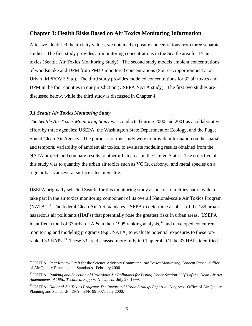#### **Chapter 3: Health Risks Based on Air Toxics Monitoring Information**

After we identified the toxicity values, we obtained exposure concentrations from three separate studies. The first study provides air monitoring concentrations in the Seattle area for 15 air toxics (Seattle Air Toxics Monitoring Study). The second study models ambient concentrations of woodsmoke and DPM from PM2.5 monitored concentrations (Source Apportionment at an Urban IMPROVE Site). The third study provides modeled concentrations for 32 air toxics and DPM in the four counties in our jurisdiction (USEPA NATA study). The first two studies are discussed below, while the third study is discussed in Chapter 4.

#### *3.1 Seattle Air Toxics Monitoring Study*

l

The *Seattle Air Toxics Monitoring Study* was conducted during 2000 and 2001 as a collaborative effort by three agencies: USEPA, the Washington State Department of Ecology, and the Puget Sound Clean Air Agency. The purposes of this study were to provide information on the spatial and temporal variability of ambient air toxics, to evaluate modeling results obtained from the NATA project, and compare results to other urban areas in the United States. The objective of this study was to quantify the urban air toxics such as VOCs, carbonyl, and metal species on a regular basis at several surface sites in Seattle.

USEPA originally selected Seattle for this monitoring study as one of four cities nationwide to take part in the air toxics monitoring component of its overall National-scale Air Toxics Program (NATA).<sup>31</sup> The federal Clean Air Act mandates USEPA to determine a subset of the 189 urban hazardous air pollutants (HAPs) that potentially pose the greatest risks in urban areas. USEPA identified a total of 33 urban HAPs in their 1995 ranking analysis, $32$  and developed concurrent monitoring and modeling programs (e.g., NATA) to evaluate potential exposures to these topranked 33 HAPs.<sup>33</sup> These 33 are discussed more fully in Chapter 4. Of the 33 HAPs identified

<sup>31</sup> USEPA. Peer Review Draft for the Science Advisory Committee: *Air Toxics Monitoring Concept Paper*. Office of Air Quality Planning and Standards. February 2000.

<sup>32</sup> USEPA. *Ranking and Selection of Hazardous Air Pollutants for Listing Under Section 112(j) of the Clean Air Act Amendments of 1990, Technical Support Document*, July 28, 1999.

<sup>33</sup> USEPA. *National Air Toxics Program: The Integrated Urban Strategy Report to Congress*. Office of Air Quality Planning and Standards. EPA-453/R-99-007. July 2000.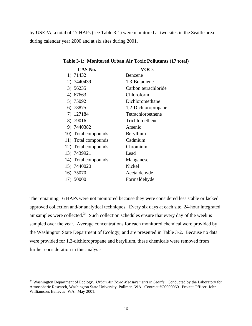by USEPA, a total of 17 HAPs (see Table 3-1) were monitored at two sites in the Seattle area during calendar year 2000 and at six sites during 2001.

| CAS No.             | <b>VOCs</b>          |
|---------------------|----------------------|
| 1) 71432            | Benzene              |
| 2) 7440439          | 1,3-Butadiene        |
| 3) 56235            | Carbon tetrachloride |
| 4) 67663            | Chloroform           |
| 5) 75092            | Dichloromethane      |
| 6) 78875            | 1,2-Dichloropropane  |
| 7) 127184           | Tetrachloroethene    |
| 8) 79016            | Trichloroethene      |
| 9) 7440382          | Arsenic              |
| 10) Total compounds | Beryllium            |
| 11) Total compounds | Cadmium              |
| 12) Total compounds | Chromium             |
| 13) 7439921         | Lead                 |
| 14) Total compounds | Manganese            |
| 15) 7440020         | Nickel               |
| 16) 75070           | Acetaldehyde         |
| 17) 50000           | Formaldehyde         |

#### **Table 3-1: Monitored Urban Air Toxic Pollutants (17 total)**

The remaining 16 HAPs were not monitored because they were considered less stable or lacked approved collection and/or analytical techniques. Every six days at each site, 24-hour integrated air samples were collected.<sup>34</sup> Such collection schedules ensure that every day of the week is sampled over the year. Average concentrations for each monitored chemical were provided by the Washington State Department of Ecology, and are presented in Table 3-2. Because no data were provided for 1,2-dichloropropane and beryllium, these chemicals were removed from further consideration in this analysis.

l

<sup>34</sup> Washington Department of Ecology. *Urban Air Toxic Measurements in Seattle*. Conducted by the Laboratory for Atmospheric Research, Washington State University, Pullman, WA. Contract #C0000060. Project Officer: John Williamson, Bellevue, WA., May 2001.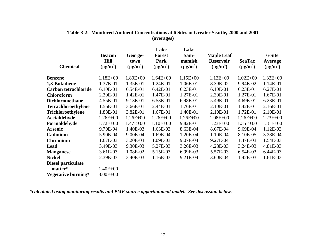| <b>Chemical</b>             | <b>Beacon</b><br><b>Hill</b><br>$(\mu g/m^3)$ | George-<br>town<br>$(\mu g/m^3)$ | Lake<br><b>Forest</b><br>Park<br>$(\mu g/m^3)$ | Lake<br>Sam-<br>mamish<br>$(\mu g/m^3)$ | <b>Maple Leaf</b><br><b>Reservoir</b><br>$(\mu g/m^3)$ | <b>SeaTac</b><br>$(\mu g/m^3)$ | 6-Site<br>Average<br>$(\mu g/m^3)$ |
|-----------------------------|-----------------------------------------------|----------------------------------|------------------------------------------------|-----------------------------------------|--------------------------------------------------------|--------------------------------|------------------------------------|
| Benzene                     | $1.18E + 00$                                  | $1.80E + 00$                     | $1.64E + 00$                                   | $1.15E + 00$                            | $1.13E + 00$                                           | $1.02E + 00$                   | $1.32E + 00$                       |
| 1,3-Butadiene               | 1.37E-01                                      | 1.35E-01                         | 1.24E-01                                       | 1.06E-01                                | 8.39E-02                                               | 9.94E-02                       | 1.14E-01                           |
| <b>Carbon tetrachloride</b> | 6.10E-01                                      | 6.54E-01                         | $6.42E-01$                                     | 6.23E-01                                | 6.10E-01                                               | 6.23E-01                       | 6.27E-01                           |
| <b>Chloroform</b>           | 2.30E-01                                      | 1.42E-01                         | 1.47E-01                                       | 1.27E-01                                | 2.30E-01                                               | 1.27E-01                       | 1.67E-01                           |
| <b>Dichloromethane</b>      | 4.55E-01                                      | 9.13E-01                         | 6.53E-01                                       | 6.98E-01                                | 5.49E-01                                               | 4.69E-01                       | 6.23E-01                           |
| <b>Tetrachloroethylene</b>  | 1.56E-01                                      | 3.66E-01                         | 2.44E-01                                       | 1.76E-01                                | 2.10E-01                                               | 1.42E-01                       | 2.16E-01                           |
| <b>Trichloroethylene</b>    | 1.88E-01                                      | 3.82E-01                         | 1.67E-01                                       | 1.40E-01                                | 2.10E-01                                               | 1.72E-01                       | 2.10E-01                           |
| <b>Acetaldehyde</b>         | $1.26E + 00$                                  | $1.26E + 00$                     | $1.26E + 00$                                   | $1.26E + 00$                            | $1.08E + 00$                                           | $1.26E + 00$                   | $1.23E + 00$                       |
| Formaldehyde                | $1.72E + 00$                                  | $1.47E + 00$                     | $1.10E + 00$                                   | 9.82E-01                                | $1.23E + 00$                                           | $1.35E + 00$                   | $1.31E + 00$                       |
| Arsenic                     | 9.70E-04                                      | 1.40E-03                         | 1.63E-03                                       | 8.63E-04                                | 8.67E-04                                               | 9.69E-04                       | 1.12E-03                           |
| Cadmium                     | 5.90E-04                                      | 9.00E-04                         | 1.69E-04                                       | 1.20E-04                                | 1.10E-04                                               | 8.10E-05                       | 3.28E-04                           |
| <b>Chromium</b>             | 1.67E-03                                      | 3.20E-03                         | 1.09E-03                                       | 9.07E-04                                | 9.27E-04                                               | 1.47E-03                       | 1.54E-03                           |
| Lead                        | 3.49E-03                                      | 9.30E-03                         | 5.27E-03                                       | 3.26E-03                                | 4.28E-03                                               | 3.24E-03                       | 4.81E-03                           |
| <b>Manganese</b>            | 3.61E-03                                      | 1.08E-02                         | 5.15E-03                                       | 6.99E-03                                | 5.57E-03                                               | 6.54E-03                       | 6.44E-03                           |
| Nickel                      | 2.39E-03                                      | 3.40E-03                         | 1.16E-03                                       | 9.21E-04                                | 3.60E-04                                               | 1.42E-03                       | 1.61E-03                           |
| Diesel particulate          |                                               |                                  |                                                |                                         |                                                        |                                |                                    |
| matter*                     | $1.40E + 00$                                  |                                  |                                                |                                         |                                                        |                                |                                    |
| Vegetative burning*         | $3.00E + 00$                                  |                                  |                                                |                                         |                                                        |                                |                                    |

#### **Table 3-2: Monitored Ambient Concentrations at 6 Sites in Greater Seattle, 2000 and 2001 (averages)**

*\*calculated using monitoring results and PMF source apportionment model. See discussion below.*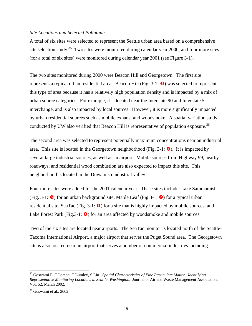#### *Site Locations and Selected Pollutants*

A total of six sites were selected to represent the Seattle urban area based on a comprehensive site selection study.<sup>35</sup> Two sites were monitored during calendar year 2000, and four more sites (for a total of six sites) were monitored during calendar year 2001 (see Figure 3-1).

The two sites monitored during 2000 were Beacon Hill and Georgetown. The first site represents a typical urban residential area. Beacon Hill (Fig.  $3-1$ :  $\Theta$ ) was selected to represent this type of area because it has a relatively high population density and is impacted by a mix of urban source categories. For example, it is located near the Interstate 90 and Interstate 5 interchange, and is also impacted by local sources. However, it is more significantly impacted by urban residential sources such as mobile exhaust and woodsmoke. A spatial variation study conducted by UW also verified that Beacon Hill is representative of population exposure.<sup>36</sup>

The second area was selected to represent potentially maximum concentrations near an industrial area. This site is located in the Georgetown neighborhood (Fig.  $3-1: \bigodot$ ). It is impacted by several large industrial sources, as well as an airport. Mobile sources from Highway 99, nearby roadways, and residential wood combustion are also expected to impact this site. This neighborhood is located in the Duwamish industrial valley.

Four more sites were added for the 2001 calendar year. These sites include: Lake Sammamish (Fig. 3-1:  $\bullet$ ) for an urban background site, Maple Leaf (Fig. 3-1:  $\bullet$ ) for a typical urban residential site, SeaTac (Fig. 3-1:  $\bullet$ ) for a site that is highly impacted by mobile sources, and Lake Forest Park (Fig. 3-1:  $\bullet$ ) for an area affected by woodsmoke and mobile sources.

Two of the six sites are located near airports. The SeaTac monitor is located north of the Seattle-Tacoma International Airport, a major airport that serves the Puget Sound area. The Georgetown site is also located near an airport that serves a number of commercial industries including

<sup>35</sup> Goswami E, T Larson, T Lumley, S Liu. *Spatial Characteristics of Fine Particulate Matter. Identifying Representative Monitoring Locations in Seattle, Washington*. Journal of Air and Waste Management Association. Vol. 52, March 2002.

 $36$  Goswami et al., 2002.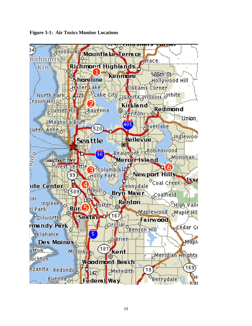

**Figure 3-1: Air Toxics Monitor Locations**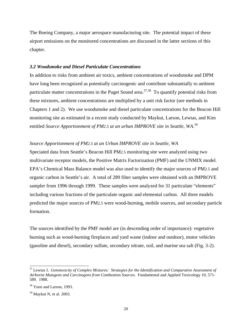The Boeing Company, a major aerospace manufacturing site. The potential impact of these airport emissions on the monitored concentrations are discussed in the latter sections of this chapter.

#### *3.2 Woodsmoke and Diesel Particulate Concentrations*

In addition to risks from ambient air toxics, ambient concentrations of woodsmoke and DPM have long been recognized as potentially carcinogenic and contribute substantially to ambient particulate matter concentrations in the Puget Sound area.<sup>37,38</sup> To quantify potential risks from these mixtures, ambient concentrations are multiplied by a unit risk factor (see methods in Chapters 1 and 2). We use woodsmoke and diesel particulate concentrations for the Beacon Hill monitoring site as estimated in a recent study conducted by Maykut, Larson, Lewtas, and Kim entitled *Source Apportionment of PM2.5 at an urban IMPROVE site in Seattle, WA*. 39

#### *Source Apportionment of PM2.5 at an Urban IMPROVE site in Seattle, WA*

Speciated data from Seattle's Beacon Hill PM2.5 monitoring site were analyzed using two multivariate receptor models, the Positive Matrix Factorization (PMF) and the UNMIX model. EPA's Chemical Mass Balance model was also used to identify the major sources of PM2.5 and organic carbon in Seattle's air. A total of 289 filter samples were obtained with an IMPROVE sampler from 1996 through 1999. These samples were analyzed for 31 particulate "elements" including various fractions of the particulate organic and elemental carbon. All three models predicted the major sources of PM2.5 were wood-burning, mobile sources, and secondary particle formation.

The sources identified by the PMF model are (in descending order of importance): vegetative burning such as wood-burning fireplaces and yard waste (indoor and outdoor), motor vehicles (gasoline and diesel), secondary sulfate, secondary nitrate, soil, and marine sea salt (Fig. 3-2).

<sup>37</sup> Lewtas J. *Genotoxicity of Complex Mixtures: Strategies for the Identification and Comparative Assessment of Airborne Mutagens and Carcinogens from Combustion Sources.* Fundamental and Applied Toxicology 10, 571- 589. 1988.

 $38$  Yuen and Larson, 1993.

<sup>39</sup> Maykut N, et al. 2003.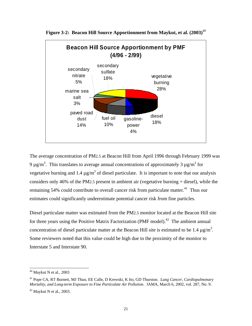

**Figure 3-2: Beacon Hill Source Apportionment from Maykut, et al. (2003)**<sup>40</sup>

The average concentration of PM2.5 at Beacon Hill from April 1996 through February 1999 was 9  $\mu$ g/m<sup>3</sup>. This translates to average annual concentrations of approximately 3  $\mu$ g/m<sup>3</sup> for vegetative burning and 1.4  $\mu$ g/m<sup>3</sup> of diesel particulate. It is important to note that our analysis considers only 46% of the PM2.5 present in ambient air (vegetative burning + diesel), while the remaining 54% could contribute to overall cancer risk from particulate matter.<sup>41</sup> Thus our estimates could significantly underestimate potential cancer risk from fine particles.

Diesel particulate matter was estimated from the PM2.5 monitor located at the Beacon Hill site for three years using the Positive Matrix Factorization (PMF model).<sup>42</sup> The ambient annual concentration of diesel particulate matter at the Beacon Hill site is estimated to be 1.4  $\mu$ g/m<sup>3</sup>. Some reviewers noted that this value could be high due to the proximity of the monitor to Interstate 5 and Interstate 90.

 $40$  Maykut N et al., 2003

<sup>41</sup> Pope CA, RT Burnett, MJ Thun, EE Calle, D Krewski, K Ito, GD Thurston. *Lung Cancer, Cardiopulmonary Mortality, and Long-term Exposure to Fine Particulate Air Pollution*. JAMA, March 6, 2002, vol. 287, No. 9.

 $42$  Maykut N et al., 2003.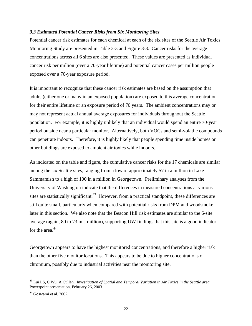#### *3.3 Estimated Potential Cancer Risks from Six Monitoring Sites*

Potential cancer risk estimates for each chemical at each of the six sites of the Seattle Air Toxics Monitoring Study are presented in Table 3-3 and Figure 3-3. Cancer risks for the average concentrations across all 6 sites are also presented. These values are presented as individual cancer risk per million (over a 70-year lifetime) and potential cancer cases per million people exposed over a 70-year exposure period.

It is important to recognize that these cancer risk estimates are based on the assumption that adults (either one or many in an exposed population) are exposed to this average concentration for their entire lifetime or an exposure period of 70 years. The ambient concentrations may or may not represent actual annual average exposures for individuals throughout the Seattle population. For example, it is highly unlikely that an individual would spend an entire 70-year period outside near a particular monitor. Alternatively, both VOCs and semi-volatile compounds can penetrate indoors. Therefore, it is highly likely that people spending time inside homes or other buildings are exposed to ambient air toxics while indoors.

As indicated on the table and figure, the cumulative cancer risks for the 17 chemicals are similar among the six Seattle sites, ranging from a low of approximately 57 in a million in Lake Sammamish to a high of 100 in a million in Georgetown. Preliminary analyses from the University of Washington indicate that the differences in measured concentrations at various sites are statistically significant.<sup>43</sup> However, from a practical standpoint, these differences are still quite small, particularly when compared with potential risks from DPM and woodsmoke later in this section. We also note that the Beacon Hill risk estimates are similar to the 6-site average (again, 80 to 73 in a million), supporting UW findings that this site is a good indicator for the area. $44$ 

Georgetown appears to have the highest monitored concentrations, and therefore a higher risk than the other five monitor locations. This appears to be due to higher concentrations of chromium, possibly due to industrial activities near the monitoring site.

l

<sup>43</sup> Lui LS, C Wu, A Cullen. *Investigation of Spatial and Temporal Variation in Air Toxics in the Seattle area.*  Powerpoint presentation, February 26, 2003.

<sup>&</sup>lt;sup>44</sup> Goswami et al. 2002.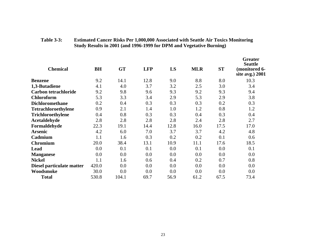| <b>Chemical</b>             | BH    | <b>GT</b> | <b>LFP</b> | LS   | <b>MLR</b> | <b>ST</b> | <b>Greater</b><br><b>Seattle</b><br>(monitored 6-<br>site avg.) 2001 |
|-----------------------------|-------|-----------|------------|------|------------|-----------|----------------------------------------------------------------------|
| <b>Benzene</b>              | 9.2   | 14.1      | 12.8       | 9.0  | 8.8        | 8.0       | 10.3                                                                 |
| 1,3-Butadiene               | 4.1   | 4.0       | 3.7        | 3.2  | 2.5        | 3.0       | 3.4                                                                  |
| <b>Carbon tetrachloride</b> | 9.2   | 9.8       | 9.6        | 9.3  | 9.2        | 9.3       | 9.4                                                                  |
| <b>Chloroform</b>           | 5.3   | 3.3       | 3.4        | 2.9  | 5.3        | 2.9       | 3.8                                                                  |
| <b>Dichloromethane</b>      | 0.2   | 0.4       | 0.3        | 0.3  | 0.3        | 0.2       | 0.3                                                                  |
| <b>Tetrachloroethylene</b>  | 0.9   | 2.1       | 1.4        | 1.0  | 1.2        | 0.8       | 1.2                                                                  |
| <b>Trichloroethylene</b>    | 0.4   | 0.8       | 0.3        | 0.3  | 0.4        | 0.3       | 0.4                                                                  |
| <b>Acetaldehyde</b>         | 2.8   | 2.8       | 2.8        | 2.8  | 2.4        | 2.8       | 2.7                                                                  |
| Formaldehyde                | 22.3  | 19.1      | 14.4       | 12.8 | 16.0       | 17.5      | 17.0                                                                 |
| <b>Arsenic</b>              | 4.2   | 6.0       | 7.0        | 3.7  | 3.7        | 4.2       | 4.8                                                                  |
| Cadmium                     | 1.1   | 1.6       | 0.3        | 0.2  | 0.2        | 0.1       | 0.6                                                                  |
| <b>Chromium</b>             | 20.0  | 38.4      | 13.1       | 10.9 | 11.1       | 17.6      | 18.5                                                                 |
| Lead                        | 0.0   | 0.1       | 0.1        | 0.0  | 0.1        | 0.0       | 0.1                                                                  |
| <b>Manganese</b>            | 0.0   | 0.0       | 0.0        | 0.0  | 0.0        | 0.0       | 0.0                                                                  |
| <b>Nickel</b>               | 1.1   | 1.6       | 0.6        | 0.4  | 0.2        | 0.7       | 0.8                                                                  |
| Diesel particulate matter   | 420.0 | 0.0       | 0.0        | 0.0  | 0.0        | 0.0       | 0.0                                                                  |
| Woodsmoke                   | 30.0  | 0.0       | 0.0        | 0.0  | 0.0        | 0.0       | 0.0                                                                  |
| <b>Total</b>                | 530.8 | 104.1     | 69.7       | 56.9 | 61.2       | 67.5      | 73.4                                                                 |

#### **Table 3-3: Estimated Cancer Risks Per 1,000,000 Associated with Seattle Air Toxics Monitoring Study Results in 2001 (and 1996-1999 for DPM and Vegetative Burning)**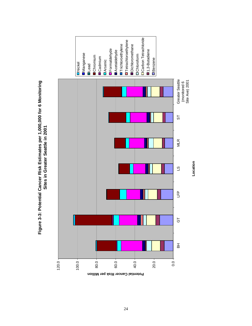

Figure 3-3: Potential Cancer Risk Estimates per 1,000,000 for 6 Monitoring **Figure 3-3: Potential Cancer Risk Estimates per 1,000,000 for 6 Monitoring**  Sites in Greater Seattle in 2001 **Sites in Greater Seattle in 2001**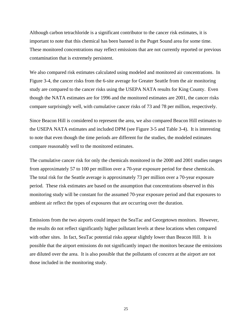Although carbon tetrachloride is a significant contributor to the cancer risk estimates, it is important to note that this chemical has been banned in the Puget Sound area for some time. These monitored concentrations may reflect emissions that are not currently reported or previous contamination that is extremely persistent.

We also compared risk estimates calculated using modeled and monitored air concentrations. In Figure 3-4, the cancer risks from the 6-site average for Greater Seattle from the air monitoring study are compared to the cancer risks using the USEPA NATA results for King County. Even though the NATA estimates are for 1996 and the monitored estimates are 2001, the cancer risks compare surprisingly well, with cumulative cancer risks of 73 and 78 per million, respectively.

Since Beacon Hill is considered to represent the area, we also compared Beacon Hill estimates to the USEPA NATA estimates and included DPM (see Figure 3-5 and Table 3-4). It is interesting to note that even though the time periods are different for the studies, the modeled estimates compare reasonably well to the monitored estimates.

The cumulative cancer risk for only the chemicals monitored in the 2000 and 2001 studies ranges from approximately 57 to 100 per million over a 70-year exposure period for these chemicals. The total risk for the Seattle average is approximately 73 per million over a 70-year exposure period. These risk estimates are based on the assumption that concentrations observed in this monitoring study will be constant for the assumed 70-year exposure period and that exposures to ambient air reflect the types of exposures that are occurring over the duration.

Emissions from the two airports could impact the SeaTac and Georgetown monitors. However, the results do not reflect significantly higher pollutant levels at these locations when compared with other sites. In fact, SeaTac potential risks appear slightly lower than Beacon Hill. It is possible that the airport emissions do not significantly impact the monitors because the emissions are diluted over the area. It is also possible that the pollutants of concern at the airport are not those included in the monitoring study.

25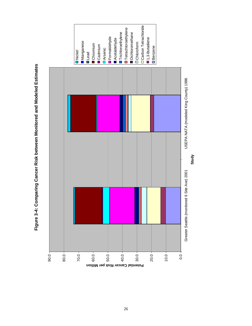Figure 3-4: Comparing Cancer Risk between Monitored and Modeled Estimates **Figure 3-4: Comparing Cancer Risk between Monitored and Modeled Estimates** 

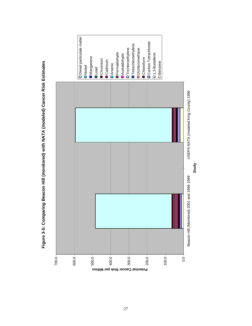

Figure 3-5: Comparing Beacon Hill (monitored) with NATA (modeled) Cancer Risk Estimates **Figure 3-5: Comparing Beacon Hill (monitored) with NATA (modeled) Cancer Risk Estimates**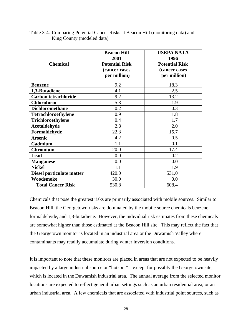| <b>Chemical</b>             | <b>Beacon Hill</b><br>2001<br><b>Potential Risk</b><br>(cancer cases<br>per million) | <b>USEPA NATA</b><br>1996<br><b>Potential Risk</b><br>(cancer cases<br>per million) |
|-----------------------------|--------------------------------------------------------------------------------------|-------------------------------------------------------------------------------------|
| <b>Benzene</b>              | 9.2                                                                                  | 18.3                                                                                |
| 1,3-Butadiene               | 4.1                                                                                  | 2.5                                                                                 |
| <b>Carbon tetrachloride</b> | 9.2                                                                                  | 13.2                                                                                |
| <b>Chloroform</b>           | 5.3                                                                                  | 1.9                                                                                 |
| <b>Dichloromethane</b>      | 0.2                                                                                  | 0.3                                                                                 |
| <b>Tetrachloroethylene</b>  | 0.9                                                                                  | 1.8                                                                                 |
| Trichloroethylene           | 0.4                                                                                  | 1.7                                                                                 |
| Acetaldehyde                | 2.8                                                                                  | 2.0                                                                                 |
| Formaldehyde                | 22.3                                                                                 | 15.7                                                                                |
| <b>Arsenic</b>              | 4.2                                                                                  | 0.5                                                                                 |
| Cadmium                     | 1.1                                                                                  | 0.1                                                                                 |
| <b>Chromium</b>             | 20.0                                                                                 | 17.4                                                                                |
| <b>Lead</b>                 | 0.0                                                                                  | 0.2                                                                                 |
| <b>Manganese</b>            | 0.0                                                                                  | 0.0                                                                                 |
| <b>Nickel</b>               | 1.1                                                                                  | 1.9                                                                                 |
| Diesel particulate matter   | 420.0                                                                                | 531.0                                                                               |
| Woodsmoke                   | 30.0                                                                                 | 0.0                                                                                 |
| <b>Total Cancer Risk</b>    | 530.8                                                                                | 608.4                                                                               |

Table 3-4: Comparing Potential Cancer Risks at Beacon Hill (monitoring data) and King County (modeled data)

Chemicals that pose the greatest risks are primarily associated with mobile sources. Similar to Beacon Hill, the Georgetown risks are dominated by the mobile source chemicals benzene, formaldehyde, and 1,3-butadiene. However, the individual risk estimates from these chemicals are somewhat higher than those estimated at the Beacon Hill site. This may reflect the fact that the Georgetown monitor is located in an industrial area or the Duwamish Valley where contaminants may readily accumulate during winter inversion conditions.

It is important to note that these monitors are placed in areas that are not expected to be heavily impacted by a large industrial source or "hotspot" – except for possibly the Georgetown site, which is located in the Duwamish industrial area. The annual average from the selected monitor locations are expected to reflect general urban settings such as an urban residential area, or an urban industrial area. A few chemicals that are associated with industrial point sources, such as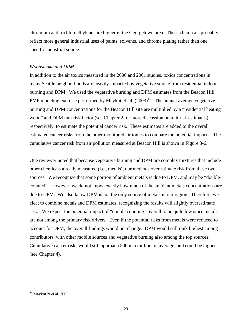chromium and trichloroethylene, are higher in the Georgetown area. These chemicals probably reflect more general industrial uses of paints, solvents, and chrome plating rather than one specific industrial source.

#### *Woodsmoke and DPM*

In addition to the air toxics measured in the 2000 and 2001 studies, toxics concentrations in many Seattle neighborhoods are heavily impacted by vegetative smoke from residential indoor burning and DPM. We used the vegetative burning and DPM estimates from the Beacon Hill PMF modeling exercise performed by Maykut et. al.  $(2003)^{45}$ . The annual average vegetative burning and DPM concentrations for the Beacon Hill site are multiplied by a "residential heating wood" and DPM unit risk factor (see Chapter 2 for more discussion on unit risk estimates), respectively, to estimate the potential cancer risk. These estimates are added to the overall estimated cancer risks from the other monitored air toxics to compare the potential impacts. The cumulative cancer risk from air pollution measured at Beacon Hill is shown in Figure 3-6.

One reviewer noted that because vegetative burning and DPM are complex mixtures that include other chemicals already measured (i.e., metals), our methods overestimate risk from these two sources. We recognize that some portion of ambient metals is due to DPM, and may be "doublecounted". However, we do not know exactly how much of the ambient metals concentrations are due to DPM. We also know DPM is not the only source of metals in our region. Therefore, we elect to combine metals and DPM estimates, recognizing the results will slightly overestimate risk. We expect the potential impact of "double counting" overall to be quite low since metals are not among the primary risk drivers. Even if the potential risks from metals were reduced to account for DPM, the overall findings would not change. DPM would still rank highest among contributors, with other mobile sources and vegetative burning also among the top sources. Cumulative cancer risks would still approach 500 in a million on average, and could be higher (see Chapter 4).

 $45$  Maykut N et al. 2003.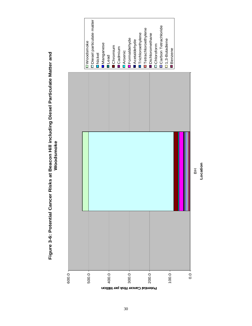

**Location**

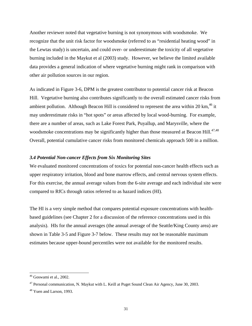Another reviewer noted that vegetative burning is not synonymous with woodsmoke. We recognize that the unit risk factor for woodsmoke (referred to as "residential heating wood" in the Lewtas study) is uncertain, and could over- or underestimate the toxicity of all vegetative burning included in the Maykut et al (2003) study. However, we believe the limited available data provides a general indication of where vegetative burning might rank in comparison with other air pollution sources in our region.

As indicated in Figure 3-6, DPM is the greatest contributor to potential cancer risk at Beacon Hill. Vegetative burning also contributes significantly to the overall estimated cancer risks from ambient pollution. Although Beacon Hill is considered to represent the area within 20 km,  $^{46}$  it may underestimate risks in "hot spots" or areas affected by local wood-burning. For example, there are a number of areas, such as Lake Forest Park, Puyallup, and Marysville, where the woodsmoke concentrations may be significantly higher than those measured at Beacon Hill.<sup>47,48</sup> Overall, potential cumulative cancer risks from monitored chemicals approach 500 in a million.

#### *3.4 Potential Non-cancer Effects from Six Monitoring Sites*

We evaluated monitored concentrations of toxics for potential non-cancer health effects such as upper respiratory irritation, blood and bone marrow effects, and central nervous system effects. For this exercise, the annual average values from the 6-site average and each individual site were compared to RfCs through ratios referred to as hazard indices (HI).

The HI is a very simple method that compares potential exposure concentrations with healthbased guidelines (see Chapter 2 for a discussion of the reference concentrations used in this analysis). HIs for the annual averages (the annual average of the Seattle/King County area) are shown in Table 3-5 and Figure 3-7 below. These results may not be reasonable maximum estimates because upper-bound percentiles were not available for the monitored results.

l

 $46$  Goswami et al., 2002.

<sup>&</sup>lt;sup>47</sup> Personal communication, N. Maykut with L. Keill at Puget Sound Clean Air Agency, June 30, 2003.

<sup>&</sup>lt;sup>48</sup> Yuen and Larson, 1993.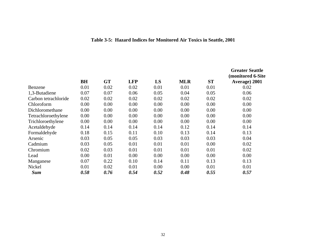|  |  | Table 3-5: Hazard Indices for Monitored Air Toxics in Seattle, 2001 |  |  |
|--|--|---------------------------------------------------------------------|--|--|
|  |  |                                                                     |  |  |

|                      |           |           |            |      |            |           | <b>Greater Seattle</b><br>(monitored 6-Site) |
|----------------------|-----------|-----------|------------|------|------------|-----------|----------------------------------------------|
|                      | <b>BH</b> | <b>GT</b> | <b>LFP</b> | LS   | <b>MLR</b> | <b>ST</b> | Average) 2001                                |
| Benzene              | 0.01      | 0.02      | 0.02       | 0.01 | 0.01       | 0.01      | 0.02                                         |
| 1,3-Butadiene        | 0.07      | 0.07      | 0.06       | 0.05 | 0.04       | 0.05      | 0.06                                         |
| Carbon tetrachloride | 0.02      | 0.02      | 0.02       | 0.02 | 0.02       | 0.02      | 0.02                                         |
| Chloroform           | 0.00      | 0.00      | 0.00       | 0.00 | 0.00       | 0.00      | 0.00                                         |
| Dichloromethane      | 0.00      | 0.00      | 0.00       | 0.00 | 0.00       | 0.00      | 0.00                                         |
| Tetrachloroethylene  | 0.00      | 0.00      | 0.00       | 0.00 | 0.00       | 0.00      | 0.00                                         |
| Trichloroethylene    | 0.00      | 0.00      | 0.00       | 0.00 | 0.00       | 0.00      | 0.00                                         |
| Acetaldehyde         | 0.14      | 0.14      | 0.14       | 0.14 | 0.12       | 0.14      | 0.14                                         |
| Formaldehyde         | 0.18      | 0.15      | 0.11       | 0.10 | 0.13       | 0.14      | 0.13                                         |
| Arsenic              | 0.03      | 0.05      | 0.05       | 0.03 | 0.03       | 0.03      | 0.04                                         |
| Cadmium              | 0.03      | 0.05      | 0.01       | 0.01 | 0.01       | 0.00      | 0.02                                         |
| Chromium             | 0.02      | 0.03      | 0.01       | 0.01 | 0.01       | 0.01      | 0.02                                         |
| Lead                 | 0.00      | 0.01      | 0.00       | 0.00 | 0.00       | 0.00      | 0.00                                         |
| Manganese            | 0.07      | 0.22      | 0.10       | 0.14 | 0.11       | 0.13      | 0.13                                         |
| Nickel               | 0.01      | 0.02      | 0.01       | 0.00 | 0.00       | 0.01      | 0.01                                         |
| <b>Sum</b>           | 0.58      | 0.76      | 0.54       | 0.52 | 0.48       | 0.55      | 0.57                                         |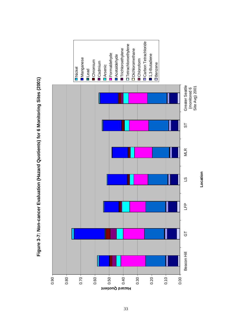

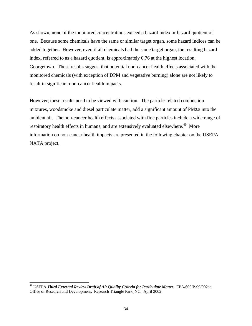As shown, none of the monitored concentrations exceed a hazard index or hazard quotient of one. Because some chemicals have the same or similar target organ, some hazard indices can be added together. However, even if all chemicals had the same target organ, the resulting hazard index, referred to as a hazard quotient, is approximately 0.76 at the highest location, Georgetown. These results suggest that potential non-cancer health effects associated with the monitored chemicals (with exception of DPM and vegetative burning) alone are not likely to result in significant non-cancer health impacts.

However, these results need to be viewed with caution. The particle-related combustion mixtures, woodsmoke and diesel particulate matter, add a significant amount of PM2.5 into the ambient air. The non-cancer health effects associated with fine particles include a wide range of respiratory health effects in humans, and are extensively evaluated elsewhere.<sup>49</sup> More information on non-cancer health impacts are presented in the following chapter on the USEPA NATA project.

<sup>49</sup> USEPA *Third External Review Draft of Air Quality Criteria for Particulate Matter*. EPA/600/P-99/002ac. Office of Research and Development. Research Triangle Park, NC. April 2002.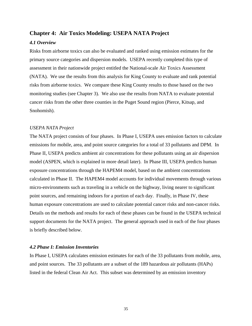#### **Chapter 4: Air Toxics Modeling: USEPA NATA Project**

#### *4.1 Overview*

Risks from airborne toxics can also be evaluated and ranked using emission estimates for the primary source categories and dispersion models. USEPA recently completed this type of assessment in their nationwide project entitled the National-scale Air Toxics Assessment (NATA). We use the results from this analysis for King County to evaluate and rank potential risks from airborne toxics. We compare these King County results to those based on the two monitoring studies (see Chapter 3). We also use the results from NATA to evaluate potential cancer risks from the other three counties in the Puget Sound region (Pierce, Kitsap, and Snohomish).

#### *USEPA NATA Project*

The NATA project consists of four phases. In Phase I, USEPA uses emission factors to calculate emissions for mobile, area, and point source categories for a total of 33 pollutants and DPM. In Phase II, USEPA predicts ambient air concentrations for these pollutants using an air dispersion model (ASPEN, which is explained in more detail later). In Phase III, USEPA predicts human exposure concentrations through the HAPEM4 model, based on the ambient concentrations calculated in Phase II. The HAPEM4 model accounts for individual movements through various micro-environments such as traveling in a vehicle on the highway, living nearer to significant point sources, and remaining indoors for a portion of each day. Finally, in Phase IV, these human exposure concentrations are used to calculate potential cancer risks and non-cancer risks. Details on the methods and results for each of these phases can be found in the USEPA technical support documents for the NATA project. The general approach used in each of the four phases is briefly described below.

#### *4.2 Phase I: Emission Inventories*

In Phase I, USEPA calculates emission estimates for each of the 33 pollutants from mobile, area, and point sources. The 33 pollutants are a subset of the 189 hazardous air pollutants (HAPs) listed in the federal Clean Air Act. This subset was determined by an emission inventory

35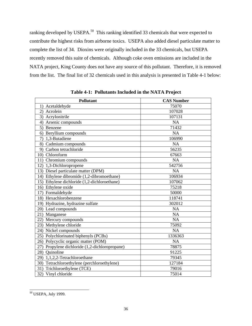ranking developed by USEPA.<sup>50</sup> This ranking identified 33 chemicals that were expected to contribute the highest risks from airborne toxics. USEPA also added diesel particulate matter to complete the list of 34. Dioxins were originally included in the 33 chemicals, but USEPA recently removed this suite of chemicals. Although coke oven emissions are included in the NATA project, King County does not have any source of this pollutant. Therefore, it is removed from the list. The final list of 32 chemicals used in this analysis is presented in Table 4-1 below:

| Pollutant                                      | <b>CAS Number</b> |
|------------------------------------------------|-------------------|
| 1) Acetaldehyde                                | 75070             |
| Acrolein<br>2)                                 | 107028            |
| 3) Acrylonitrile                               | 107131            |
| 4) Arsenic compounds                           | <b>NA</b>         |
| 5) Benzene                                     | 71432             |
| 6) Beryllium compounds                         | <b>NA</b>         |
| 7) 1,3-Butadiene                               | 106990            |
| 8) Cadmium compounds                           | <b>NA</b>         |
| 9) Carbon tetrachloride                        | 56235             |
| 10) Chloroform                                 | 67663             |
| 11) Chromium compounds                         | <b>NA</b>         |
| 12) 1,3-Dichloropropene                        | 542756            |
| 13) Diesel particulate matter (DPM)            | <b>NA</b>         |
| 14) Ethylene dibromide (1,2-dibromoethane)     | 106934            |
| 15) Ethylene dichloride (1,2-dichloroethane)   | 107062            |
| 16) Ethylene oxide                             | 75218             |
| 17) Formaldehyde                               | 50000             |
| 18) Hexachlorobenzene                          | 118741            |
| 19) Hydrazine, hydrazine sulfate               | 302012            |
| 20) Lead compounds                             | <b>NA</b>         |
| 21) Manganese                                  | <b>NA</b>         |
| 22) Mercury compounds                          | <b>NA</b>         |
| 23) Methylene chloride                         | 75092             |
| 24) Nickel compounds                           | <b>NA</b>         |
| 25) Polychlorinated biphenyls (PCBs)           | 1336363           |
| 26) Polycyclic organic matter (POM)            | <b>NA</b>         |
| 27) Propylene dichloride (1,2-dichloropropane) | 78875             |
| 28) Quinoline                                  | 91225             |
| 29) 1,1,2,2-Tetrachloroethane                  | 79345             |
| 30) Tetrachloroethylene (perchloroethylene)    | 127184            |
| 31) Trichloroethylene (TCE)                    | 79016             |
| 32) Vinyl chloride                             | 75014             |

**Table 4-1: Pollutants Included in the NATA Project**

 $\overline{a}$ <sup>50</sup> USEPA, July 1999.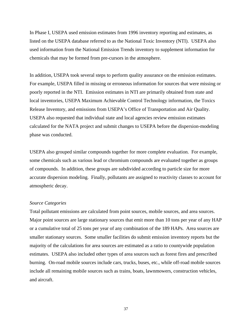In Phase I, USEPA used emission estimates from 1996 inventory reporting and estimates, as listed on the USEPA database referred to as the National Toxic Inventory (NTI). USEPA also used information from the National Emission Trends inventory to supplement information for chemicals that may be formed from pre-cursors in the atmosphere.

In addition, USEPA took several steps to perform quality assurance on the emission estimates. For example, USEPA filled in missing or erroneous information for sources that were missing or poorly reported in the NTI. Emission estimates in NTI are primarily obtained from state and local inventories, USEPA Maximum Achievable Control Technology information, the Toxics Release Inventory, and emissions from USEPA's Office of Transportation and Air Quality. USEPA also requested that individual state and local agencies review emission estimates calculated for the NATA project and submit changes to USEPA before the dispersion-modeling phase was conducted.

USEPA also grouped similar compounds together for more complete evaluation. For example, some chemicals such as various lead or chromium compounds are evaluated together as groups of compounds. In addition, these groups are subdivided according to particle size for more accurate dispersion modeling. Finally, pollutants are assigned to reactivity classes to account for atmospheric decay.

#### *Source Categories*

Total pollutant emissions are calculated from point sources, mobile sources, and area sources. Major point sources are large stationary sources that emit more than 10 tons per year of any HAP or a cumulative total of 25 tons per year of any combination of the 189 HAPs. Area sources are smaller stationary sources. Some smaller facilities do submit emission inventory reports but the majority of the calculations for area sources are estimated as a ratio to countywide population estimates. USEPA also included other types of area sources such as forest fires and prescribed burning. On-road mobile sources include cars, trucks, buses, etc., while off-road mobile sources include all remaining mobile sources such as trains, boats, lawnmowers, construction vehicles, and aircraft.

37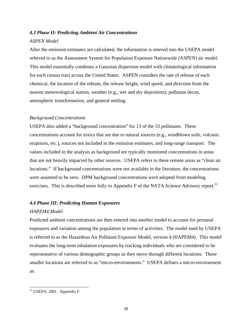### *4.3 Phase II: Predicting Ambient Air Concentrations ASPEN Model*

After the emission estimates are calculated, the information is entered into the USEPA model referred to as the Assessment System for Population Exposure Nationwide (ASPEN) air model. This model essentially combines a Gaussian dispersion model with climatological information for each census tract across the United States. ASPEN considers the rate of release of each chemical, the location of the release, the release height, wind speed, and direction from the nearest meteorological station, weather (e.g., wet and dry deposition), pollutant decay, atmospheric transformation, and general settling.

#### *Background Concentrations*

USEPA also added a "background concentration" for 13 of the 33 pollutants. These concentrations account for toxics that are due to natural sources (e.g., windblown soils, volcanic eruptions, etc.), sources not included in the emission estimates, and long-range transport. The values included in the analysis as background are typically monitored concentrations in areas that are not heavily impacted by other sources. USEPA refers to these remote areas as "clean air locations." If background concentrations were not available in the literature, the concentrations were assumed to be zero. DPM background concentrations were adopted from modeling exercises. This is described more fully in Appendix F of the NATA Science Advisory report.<sup>51</sup>

#### *4.4 Phase III: Predicting Human Exposures*

#### *HAPEM4 Model*

Predicted ambient concentrations are then entered into another model to account for personal exposures and variation among the population in terms of activities. The model used by USEPA is referred to as the Hazardous Air Pollutant Exposure Model, version 4 (HAPEM4). This model evaluates the long-term inhalation exposures by tracking individuals who are considered to be representative of various demographic groups as they move through different locations. These smaller locations are referred to as "micro-environments." USEPA defines a micro-environment as:

 $<sup>51</sup>$  USEPA, 2001. Appendix F.</sup>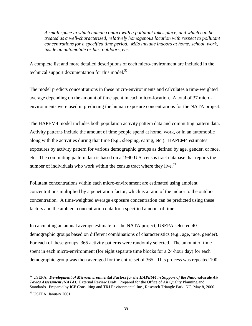*A small space in which human contact with a pollutant takes place, and which can be treated as a well-characterized, relatively homogenous location with respect to pollutant concentrations for a specified time period. MEs include indoors at home, school, work, inside an automobile or bus, outdoors, etc.* 

A complete list and more detailed descriptions of each micro-environment are included in the technical support documentation for this model. $52$ 

The model predicts concentrations in these micro-environments and calculates a time-weighted average depending on the amount of time spent in each micro-location. A total of 37 microenvironments were used in predicting the human exposure concentrations for the NATA project.

The HAPEM4 model includes both population activity pattern data and commuting pattern data. Activity patterns include the amount of time people spend at home, work, or in an automobile along with the activities during that time (e.g., sleeping, eating, etc.). HAPEM4 estimates exposures by activity pattern for various demographic groups as defined by age, gender, or race, etc. The commuting pattern data is based on a 1990 U.S. census tract database that reports the number of individuals who work within the census tract where they live. $53$ 

Pollutant concentrations within each micro-environment are estimated using ambient concentrations multiplied by a penetration factor, which is a ratio of the indoor to the outdoor concentration. A time-weighted average exposure concentration can be predicted using these factors and the ambient concentration data for a specified amount of time.

In calculating an annual average estimate for the NATA project, USEPA selected 40 demographic groups based on different combinations of characteristics (e.g., age, race, gender). For each of these groups, 365 activity patterns were randomly selected. The amount of time spent in each micro-environment (for eight separate time blocks for a 24-hour day) for each demographic group was then averaged for the entire set of 365. This process was repeated 100

52 USEPA. *Development of Microenvironmental Factors for the HAPEM4 in Support of the National-scale Air Toxics Assessment (NATA).* External Review Draft. Prepared for the Office of Air Quality Planning and Standards. Prepared by ICF Consulting and TRJ Environmental Inc., Research Triangle Park, NC, May 8, 2000.

<sup>53</sup> USEPA, January 2001.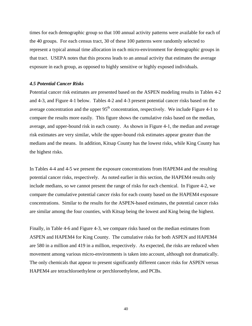times for each demographic group so that 100 annual activity patterns were available for each of the 40 groups. For each census tract, 30 of these 100 patterns were randomly selected to represent a typical annual time allocation in each micro-environment for demographic groups in that tract. USEPA notes that this process leads to an annual activity that estimates the average exposure in each group, as opposed to highly sensitive or highly exposed individuals.

#### *4.5 Potential Cancer Risks*

Potential cancer risk estimates are presented based on the ASPEN modeling results in Tables 4-2 and 4-3, and Figure 4-1 below. Tables 4-2 and 4-3 present potential cancer risks based on the average concentration and the upper  $95<sup>th</sup>$  concentration, respectively. We include Figure 4-1 to compare the results more easily. This figure shows the cumulative risks based on the median, average, and upper-bound risk in each county. As shown in Figure 4-1, the median and average risk estimates are very similar, while the upper-bound risk estimates appear greater than the medians and the means. In addition, Kitsap County has the lowest risks, while King County has the highest risks.

In Tables 4-4 and 4-5 we present the exposure concentrations from HAPEM4 and the resulting potential cancer risks, respectively. As noted earlier in this section, the HAPEM4 results only include medians, so we cannot present the range of risks for each chemical. In Figure 4-2, we compare the cumulative potential cancer risks for each county based on the HAPEM4 exposure concentrations. Similar to the results for the ASPEN-based estimates, the potential cancer risks are similar among the four counties, with Kitsap being the lowest and King being the highest.

Finally, in Table 4-6 and Figure 4-3, we compare risks based on the median estimates from ASPEN and HAPEM4 for King County. The cumulative risks for both ASPEN and HAPEM4 are 580 in a million and 419 in a million, respectively. As expected, the risks are reduced when movement among various micro-environments is taken into account, although not dramatically. The only chemicals that appear to present significantly different cancer risks for ASPEN versus HAPEM4 are tetrachloroethylene or perchloroethylene, and PCBs.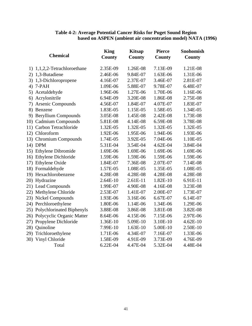|     | <b>Chemical</b>               | <b>King</b><br>County | <b>Kitsap</b><br><b>County</b> | <b>Pierce</b><br><b>County</b> | <b>Snohomish</b><br><b>County</b> |
|-----|-------------------------------|-----------------------|--------------------------------|--------------------------------|-----------------------------------|
|     | 1) 1,1,2,2-Tetrachloroethane  | 2.35E-09              | 1.26E-08                       | 7.13E-09                       | 1.21E-08                          |
|     | 2) 1,3-Butadiene              | 2.46E-06              | 9.84E-07                       | 1.63E-06                       | 1.31E-06                          |
|     | 3) 1,3-Dichloropropene        | 4.16E-07              | 2.37E-07                       | 3.46E-07                       | 2.81E-07                          |
|     | 4) 7-PAH                      | 1.09E-06              | 5.88E-07                       | 9.78E-07                       | 6.48E-07                          |
|     | 5) Acetaldehyde               | 1.96E-06              | 1.27E-06                       | 1.70E-06                       | 1.16E-06                          |
| 6)  | Acrylonitrile                 | 6.94E-09              | 3.20E-08                       | 1.86E-08                       | 2.75E-08                          |
| 7)  | <b>Arsenic Compounds</b>      | 4.56E-07              | 1.84E-07                       | 4.07E-07                       | 1.83E-07                          |
| 8)  | Benzene                       | 1.83E-05              | 1.15E-05                       | 1.58E-05                       | 1.34E-05                          |
|     | 9) Beryllium Compounds        | 3.05E-08              | 1.45E-08                       | 2.42E-08                       | 1.73E-08                          |
|     | 10) Cadmium Compounds         | 5.81E-08              | 4.14E-08                       | 6.59E-08                       | 3.78E-08                          |
|     | 11) Carbon Tetrachloride      | 1.32E-05              | 1.32E-05                       | 1.32E-05                       | 1.32E-05                          |
|     | 12) Chloroform                | 1.92E-06              | 1.95E-06                       | 1.94E-06                       | 1.93E-06                          |
|     | 13) Chromium Compounds        | 1.74E-05              | 3.92E-05                       | 7.04E-06                       | 1.10E-05                          |
|     | 14) DPM                       | 5.31E-04              | 3.54E-04                       | 4.62E-04                       | 3.84E-04                          |
|     | 15) Ethylene Dibromide        | 1.69E-06              | 1.69E-06                       | 1.69E-06                       | 1.69E-06                          |
|     | 16) Ethylene Dichloride       | 1.59E-06              | 1.59E-06                       | 1.59E-06                       | 1.59E-06                          |
| 17) | Ethylene Oxide                | 1.84E-07              | 7.36E-08                       | 2.07E-07                       | 7.14E-08                          |
|     | 18) Formaldehyde              | 1.57E-05              | 1.08E-05                       | 1.35E-05                       | 1.08E-05                          |
|     | 19) Hexachlorobenzene         | 4.28E-08              | 4.28E-08                       | 4.28E-08                       | 4.28E-08                          |
|     | 20) Hydrazine                 | 2.64E-10              | 2.61E-11                       | 1.82E-10                       | 6.91E-11                          |
|     | 21) Lead Compounds            | 1.99E-07              | 4.90E-08                       | 4.16E-08                       | 3.23E-08                          |
|     | 22) Methylene Chloride        | 2.53E-07              | 1.41E-07                       | 2.00E-07                       | 1.73E-07                          |
|     | 23) Nickel Compounds          | 1.93E-06              | 3.16E-06                       | 6.67E-07                       | 6.14E-07                          |
|     | 24) Perchloroethylene         | 1.80E-06              | 1.14E-06                       | 1.34E-06                       | 1.29E-06                          |
|     | 25) Polychlorinated Biphenyls | 3.88E-08              | 3.86E-08                       | 3.81E-08                       | 3.82E-08                          |
| 26) | Polycyclic Organic Matter     | 8.64E-06              | 4.15E-06                       | 7.15E-06                       | 2.97E-06                          |
| 27) | Propylene Dichloride          | 1.36E-10              | 5.09E-10                       | 3.10E-10                       | 4.62E-10                          |
| 28) | Quinoline                     | 7.99E-10              | 1.63E-10                       | 5.00E-10                       | 2.50E-10                          |
| 29) | Trichloroethylene             | 1.71E-06              | 4.34E-07                       | 7.16E-07                       | 1.33E-06                          |
|     | 30) Vinyl Chloride            | 1.58E-09              | 4.91E-09                       | 3.73E-09                       | 4.76E-09                          |
|     | Total                         | 6.22E-04              | 4.47E-04                       | 5.32E-04                       | 4.48E-04                          |

#### **Table 4-2: Average Potential Cancer Risks for Puget Sound Region based on ASPEN (ambient air concentration model) NATA (1996)**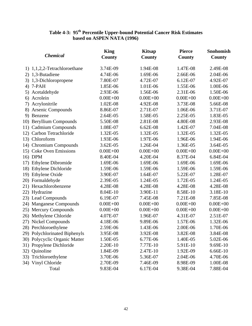#### **Table 4-3: 95th Percentile Upper-bound Potential Cancer Risk Estimates based on ASPEN NATA (1996)**

|     |                               | <b>King</b>  | <b>Kitsap</b> | <b>Pierce</b> | Snohomish     |
|-----|-------------------------------|--------------|---------------|---------------|---------------|
|     | <b>Chemical</b>               | County       | <b>County</b> | <b>County</b> | <b>County</b> |
|     | 1) 1,1,2,2-Tetrachloroethane  | 3.74E-09     | 1.94E-08      | 1.47E-08      | 2.49E-08      |
|     | 2) 1,3-Butadiene              | 4.74E-06     | 1.69E-06      | 2.66E-06      | 2.04E-06      |
|     | 3) 1,3-Dichloropropene        | 7.80E-07     | 4.72E-07      | 6.12E-07      | 4.92E-07      |
|     | 4) 7-PAH                      | 1.85E-06     | 1.01E-06      | 1.55E-06      | 1.00E-06      |
|     | 5) Acetaldehyde               | 2.93E-06     | 1.56E-06      | 2.31E-06      | 1.50E-06      |
|     | 6) Acrolein                   | $0.00E + 00$ | $0.00E + 00$  | $0.00E + 00$  | $0.00E + 00$  |
|     | 7) Acrylonitrile              | 1.02E-08     | 4.92E-08      | 3.73E-08      | 5.66E-08      |
|     | 8) Arsenic Compounds          | 8.86E-07     | 2.71E-07      | 1.06E-06      | 3.71E-07      |
|     | 9) Benzene                    | 2.64E-05     | 1.58E-05      | 2.25E-05      | 1.83E-05      |
|     | 10) Beryllium Compounds       | 5.50E-08     | 2.81E-08      | 4.80E-08      | 2.93E-08      |
|     | 11) Cadmium Compounds         | 1.08E-07     | 6.62E-08      | 1.42E-07      | 7.04E-08      |
|     | 12) Carbon Tetrachloride      | 1.32E-05     | 1.32E-05      | 1.32E-05      | 1.32E-05      |
|     | 13) Chloroform                | 1.93E-06     | 1.97E-06      | 1.96E-06      | 1.94E-06      |
|     | 14) Chromium Compounds        | 3.62E-05     | 1.26E-04      | 1.36E-05      | 3.64E-05      |
|     | 15) Coke Oven Emissions       | $0.00E + 00$ | $0.00E + 00$  | $0.00E + 00$  | $0.00E + 00$  |
|     | 16) DPM                       | 8.40E-04     | 4.20E-04      | 8.37E-04      | 6.84E-04      |
|     | 17) Ethylene Dibromide        | 1.69E-06     | 1.69E-06      | 1.69E-06      | 1.69E-06      |
|     | 18) Ethylene Dichloride       | 1.59E-06     | 1.59E-06      | 1.59E-06      | 1.59E-06      |
|     | 19) Ethylene Oxide            | 3.90E-07     | 1.64E-07      | 5.22E-07      | 1.28E-07      |
|     | 20) Formaldehyde              | 2.39E-05     | 1.24E-05      | 1.72E-05      | 1.24E-05      |
|     | 21) Hexachlorobenzene         | 4.28E-08     | 4.28E-08      | 4.28E-08      | 4.28E-08      |
|     | 22) Hydrazine                 | 8.04E-10     | 3.90E-11      | 8.58E-10      | 3.18E-10      |
|     | 23) Lead Compounds            | 6.19E-07     | 7.45E-08      | 7.21E-08      | 7.85E-08      |
|     | 24) Manganese Compounds       | $0.00E + 00$ | $0.00E + 00$  | $0.00E + 00$  | $0.00E + 00$  |
|     | 25) Mercury Compounds         | $0.00E + 00$ | $0.00E + 00$  | $0.00E + 00$  | $0.00E + 00$  |
|     | 26) Methylene Chloride        | 4.07E-07     | 1.96E-07      | 4.31E-07      | 2.51E-07      |
|     | 27) Nickel Compounds          | 4.18E-06     | 9.89E-06      | 1.57E-06      | 1.32E-06      |
|     | 28) Perchloroethylene         | 2.59E-06     | 1.43E-06      | 2.00E-06      | 1.70E-06      |
|     | 29) Polychlorinated Biphenyls | 3.95E-08     | 3.92E-08      | 3.82E-08      | 3.84E-08      |
|     | 30) Polycyclic Organic Matter | 1.50E-05     | 6.77E-06      | 1.40E-05      | 5.02E-06      |
|     | 31) Propylene Dichloride      | 2.20E-10     | 7.77E-10      | 5.91E-10      | 9.69E-10      |
| 32) | Quinoline                     | 1.84E-09     | 2.47E-10      | 1.92E-09      | 6.66E-10      |
| 33) | Trichloroethylene             | 3.70E-06     | 5.36E-07      | 2.04E-06      | 4.70E-06      |
|     | 34) Vinyl Chloride            | 2.70E-09     | 7.46E-09      | 8.98E-09      | 1.00E-08      |
|     | Total                         | 9.83E-04     | 6.17E-04      | 9.38E-04      | 7.88E-04      |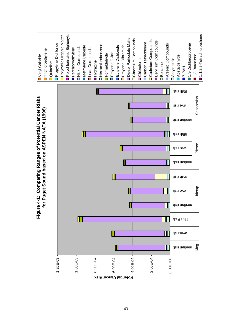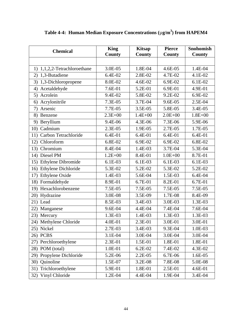| <b>Chemical</b>                  | <b>King</b> | <b>Kitsap</b> | <b>Pierce</b> | <b>Snohomish</b> |
|----------------------------------|-------------|---------------|---------------|------------------|
|                                  | County      | <b>County</b> | County        | County           |
|                                  |             |               |               |                  |
| 1,1,2,2-Tetrachloroethane<br>1)  | 3.0E-05     | 1.8E-04       | 4.6E-05       | 1.4E-04          |
| 1,3-Butadiene<br>2)              | 6.4E-02     | 2.8E-02       | 4.7E-02       | 4.1E-02          |
| 3)<br>1,3-Dichloropropene        | 8.0E-02     | 4.6E-02       | 6.9E-02       | $6.1E-02$        |
| Acetaldehyde<br>4)               | 7.6E-01     | 5.2E-01       | 6.9E-01       | 4.9E-01          |
| Acrolein<br>5)                   | 9.4E-02     | 5.8E-02       | 9.2E-02       | 6.9E-02          |
| Acrylonitrile<br>6)              | 7.3E-05     | 3.7E-04       | 9.6E-05       | 2.5E-04          |
| Arsenic<br>7)                    | 7.7E-05     | 3.5E-05       | 5.8E-05       | 3.4E-05          |
| Benzene<br>8)                    | $2.3E + 00$ | $1.4E + 00$   | $2.0E + 00$   | $1.8E + 00$      |
| Beryllium<br>9)                  | 9.4E-06     | 4.3E-06       | 7.3E-06       | 5.9E-06          |
| 10) Cadmium                      | 2.3E-05     | 1.9E-05       | 2.7E-05       | 1.7E-05          |
| Carbon Tetrachloride<br>11)      | 6.4E-01     | 6.4E-01       | 6.4E-01       | 6.4E-01          |
| Chloroform<br>12)                | 6.8E-02     | 6.9E-02       | 6.9E-02       | 6.8E-02          |
| Chromium<br>13)                  | 8.4E-04     | 1.4E-03       | 3.7E-04       | 5.3E-04          |
| Diesel PM<br>14)                 | $1.2E + 00$ | 8.4E-01       | $1.0E + 00$   | 8.7E-01          |
| <b>Ethylene Dibromide</b><br>15) | 6.1E-03     | 6.1E-03       | 6.1E-03       | 6.1E-03          |
| Ethylene Dichloride<br>16)       | 5.3E-02     | 5.2E-02       | 5.3E-02       | 5.2E-02          |
| Ethylene Oxide<br>17)            | 1.4E-03     | 5.6E-04       | 1.5E-03       | 6.4E-04          |
| Formaldehyde<br>18)              | 8.9E-01     | 6.7E-01       | 8.2E-01       | 6.7E-01          |
| 19) Hexachlorobenzene            | 7.5E-05     | 7.5E-05       | 7.5E-05       | 7.5E-05          |
| 20) Hydrazine                    | 3.0E-08     | 3.5E-09       | 1.7E-08       | 8.4E-09          |
| 21) Lead                         | 8.5E-03     | 3.4E-03       | 3.0E-03       | 1.3E-03          |
| 22)<br>Manganese                 | 9.6E-04     | 4.4E-04       | 7.4E-04       | 7.6E-04          |
| 23) Mercury                      | 1.3E-03     | 1.4E-03       | 1.3E-03       | 1.3E-03          |
| Methylene Chloride<br>24)        | 4.0E-01     | 2.3E-01       | 3.0E-01       | 3.0E-01          |
| 25) Nickel                       | 2.7E-03     | 3.4E-03       | 9.3E-04       | 1.0E-03          |
| 26) PCBS                         | 3.1E-04     | 3.0E-04       | 3.0E-04       | 3.0E-04          |
| Perchloroethylene<br>27)         | 2.3E-01     | 1.5E-01       | 1.8E-01       | 1.8E-01          |
| POM (total)<br>28)               | 1.0E-01     | 6.2E-02       | 7.4E-02       | 4.3E-02          |
| Propylene Dichloride<br>29)      | 5.2E-06     | 2.2E-05       | 6.7E-06       | 1.6E-05          |
| Quinoline<br>30)                 | 1.5E-07     | 3.2E-08       | 7.8E-08       | 5.0E-08          |
| Trichloroethylene<br>31)         | 5.9E-01     | 1.8E-01       | 2.5E-01       | 4.6E-01          |
| Vinyl Chloride<br>32)            | 1.2E-04     | 4.4E-04       | 1.9E-04       | 3.4E-04          |

**Table 4-4: Human Median Exposure Concentrations (**µ**g/m<sup>3</sup> ) from HAPEM4**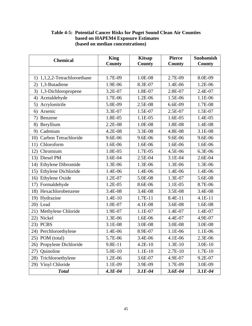| <b>Chemical</b>              | <b>King</b>   | <b>Kitsap</b> | <b>Pierce</b> | <b>Snohomish</b> |
|------------------------------|---------------|---------------|---------------|------------------|
|                              | <b>County</b> | <b>County</b> | <b>County</b> | <b>County</b>    |
|                              |               |               |               |                  |
| 1) 1,1,2,2-Tetrachloroethane | 1.7E-09       | 1.0E-08       | 2.7E-09       | 8.0E-09          |
| 1,3-Butadiene<br>2)          | 1.9E-06       | 8.3E-07       | 1.4E-06       | 1.2E-06          |
| 1,3-Dichloropropene<br>3)    | 3.2E-07       | 1.8E-07       | 2.8E-07       | 2.4E-07          |
| Acetaldehyde<br>4)           | 1.7E-06       | 1.2E-06       | 1.5E-06       | 1.1E-06          |
| Acrylonitrile<br>5)          | 5.0E-09       | 2.5E-08       | 6.6E-09       | 1.7E-08          |
| Arsenic<br>6)                | 3.3E-07       | 1.5E-07       | 2.5E-07       | 1.5E-07          |
| 7)<br>Benzene                | 1.8E-05       | 1.1E-05       | 1.6E-05       | 1.4E-05          |
| Beryllium<br>8)              | 2.2E-08       | 1.0E-08       | 1.8E-08       | 1.4E-08          |
| 9) Cadmium                   | 4.2E-08       | 3.3E-08       | 4.8E-08       | 3.1E-08          |
| 10) Carbon Tetrachloride     | 9.6E-06       | 9.6E-06       | 9.6E-06       | 9.6E-06          |
| 11) Chloroform               | 1.6E-06       | 1.6E-06       | 1.6E-06       | 1.6E-06          |
| Chromium<br>12)              | 1.0E-05       | 1.7E-05       | 4.5E-06       | 6.3E-06          |
| 13) Diesel PM                | 3.6E-04       | 2.5E-04       | 3.1E-04       | 2.6E-04          |
| 14) Ethylene Dibromide       | 1.3E-06       | 1.3E-06       | 1.3E-06       | 1.3E-06          |
| Ethylene Dichloride<br>15)   | 1.4E-06       | 1.4E-06       | 1.4E-06       | 1.4E-06          |
| 16) Ethylene Oxide           | 1.2E-07       | 5.0E-08       | 1.3E-07       | 5.6E-08          |
| 17) Formaldehyde             | 1.2E-05       | 8.6E-06       | 1.1E-05       | 8.7E-06          |
| 18) Hexachlorobenzene        | 3.4E-08       | 3.4E-08       | 3.5E-08       | 3.4E-08          |
| 19) Hydrazine                | 1.4E-10       | $1.7E-11$     | 8.4E-11       | 4.1E-11          |
| 20) Lead                     | 1.0E-07       | 4.1E-08       | 3.6E-08       | 1.6E-08          |
| Methylene Chloride<br>21)    | 1.9E-07       | 1.1E-07       | 1.4E-07       | 1.4E-07          |
| Nickel<br>22)                | 1.3E-06       | 1.6E-06       | 4.4E-07       | 4.9E-07          |
| 23) PCBS                     | 3.1E-08       | 3.0E-08       | 3.0E-08       | 3.0E-08          |
| 24) Perchloroethylene        | 1.4E-06       | 8.9E-07       | 1.1E-06       | 1.1E-06          |
| 25) POM (total)              | 5.7E-06       | 3.4E-06       | 4.1E-06       | 2.3E-06          |
| 26) Propylene Dichloride     | 9.8E-11       | $4.2E-10$     | $1.3E-10$     | $3.0E-10$        |
| 27) Quinoline                | 5.0E-10       | $1.1E-10$     | 2.7E-10       | 1.7E-10          |
| Trichloroethylene<br>28)     | 1.2E-06       | 3.6E-07       | 4.9E-07       | 9.2E-07          |
| 29) Vinyl Chloride           | 1.1E-09       | 3.9E-09       | 1.7E-09       | 3.0E-09          |
| <b>Total</b>                 | $4.3E - 04$   | $3.1E-04$     | $3.6E - 04$   | $3.1E-04$        |

#### **Table 4-5: Potential Cancer Risks for Puget Sound Clean Air Counties based on HAPEM4 Exposure Estimates (based on median concentrations)**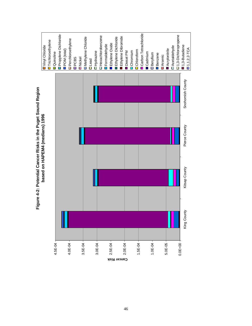

# **Figure 4-2: Potential Cancer Risks in the Puget Sound Region**  Figure 4-2: Potential Cancer Risks in the Puget Sound Region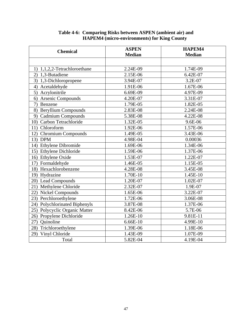| <b>Chemical</b>               | <b>ASPEN</b><br><b>Median</b> | HAPEM4<br><b>Median</b> |  |
|-------------------------------|-------------------------------|-------------------------|--|
|                               |                               |                         |  |
| 1) 1,1,2,2-Tetrachloroethane  | 2.24E-09                      | 1.74E-09                |  |
| 2) 1,3-Butadiene              | 2.15E-06                      | 6.42E-07                |  |
| 3) 1,3-Dichloropropene        | 3.94E-07                      | 3.2E-07                 |  |
| 4) Acetaldehyde               | 1.91E-06                      | 1.67E-06                |  |
| 5) Acrylonitrile              | 6.69E-09                      | 4.97E-09                |  |
| 6) Arsenic Compounds          | 4.20E-07                      | 3.31E-07                |  |
| Benzene<br>7)                 | 1.79E-05                      | 1.82E-05                |  |
| 8) Beryllium Compounds        | 2.83E-08                      | 2.24E-08                |  |
| 9) Cadmium Compounds          | 5.38E-08                      | 4.22E-08                |  |
| 10) Carbon Tetrachloride      | 1.32E-05                      | 9.6E-06                 |  |
| 11) Chloroform                | 1.92E-06                      | 1.57E-06                |  |
| 12) Chromium Compounds        | 1.49E-05                      | 3.43E-06                |  |
| 13) DPM                       | 4.98E-04                      | 0.00036                 |  |
| 14) Ethylene Dibromide        | 1.69E-06                      | 1.34E-06                |  |
| 15) Ethylene Dichloride       | 1.59E-06                      | 1.37E-06                |  |
| 16) Ethylene Oxide            | 1.53E-07                      | 1.22E-07                |  |
| 17) Formaldehyde              | 1.46E-05                      | 1.15E-05                |  |
| 18) Hexachlorobenzene         | 4.28E-08                      | 3.45E-08                |  |
| 19) Hydrazine                 | 1.70E-10                      | 1.45E-10                |  |
| 20) Lead Compounds            | 1.20E-07                      | 1.02E-07                |  |
| 21) Methylene Chloride        | 2.32E-07                      | 1.9E-07                 |  |
| 22) Nickel Compounds          | 1.65E-06                      | 3.22E-07                |  |
| 23) Perchloroethylene         | 1.72E-06                      | 3.06E-08                |  |
| 24) Polychlorinated Biphenyls | 3.87E-08                      | 1.37E-06                |  |
| 25) Polycyclic Organic Matter | 8.42E-06                      | 5.7E-06                 |  |
| 26) Propylene Dichloride      | 1.26E-10                      | 9.81E-11                |  |
| 27) Quinoline                 | 6.66E-10                      | 4.99E-10                |  |
| 28) Trichloroethylene         | 1.39E-06                      | 1.18E-06                |  |
| Vinyl Chloride<br>29)         | 1.43E-09                      | 1.07E-09                |  |
| Total                         | 5.82E-04                      | 4.19E-04                |  |

#### **Table 4-6: Comparing Risks between ASPEN (ambient air) and HAPEM4 (micro-environments) for King County**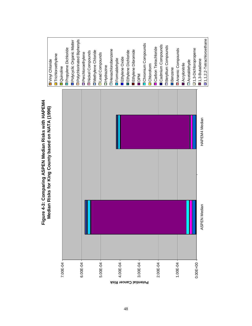

**Figure 4-3: Comparing ASPEN Median Risks with HAPEM4**  Figure 4-3: Comparing ASPEN Median Risks with HAPEM4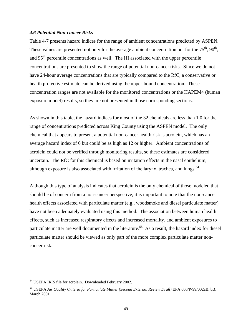#### *4.6 Potential Non-cancer Risks*

Table 4-7 presents hazard indices for the range of ambient concentrations predicted by ASPEN. These values are presented not only for the average ambient concentration but for the  $75<sup>th</sup>$ ,  $90<sup>th</sup>$ , and 95<sup>th</sup> percentile concentrations as well. The HI associated with the upper percentile concentrations are presented to show the range of potential non-cancer risks. Since we do not have 24-hour average concentrations that are typically compared to the RfC, a conservative or health protective estimate can be derived using the upper-bound concentration. These concentration ranges are not available for the monitored concentrations or the HAPEM4 (human exposure model) results, so they are not presented in those corresponding sections.

As shown in this table, the hazard indices for most of the 32 chemicals are less than 1.0 for the range of concentrations predicted across King County using the ASPEN model. The only chemical that appears to present a potential non-cancer health risk is acrolein, which has an average hazard index of 6 but could be as high as 12 or higher. Ambient concentrations of acrolein could not be verified through monitoring results, so these estimates are considered uncertain. The RfC for this chemical is based on irritation effects in the nasal epithelium, although exposure is also associated with irritation of the larynx, trachea, and lungs.<sup>54</sup>

Although this type of analysis indicates that acrolein is the only chemical of those modeled that should be of concern from a non-cancer perspective, it is important to note that the non-cancer health effects associated with particulate matter (e.g., woodsmoke and diesel particulate matter) have not been adequately evaluated using this method. The association between human health effects, such as increased respiratory effects and increased mortality, and ambient exposures to particulate matter are well documented in the literature.<sup>55</sup> As a result, the hazard index for diesel particulate matter should be viewed as only part of the more complex particulate matter noncancer risk.

l

<sup>&</sup>lt;sup>54</sup> USEPA IRIS file for acrolein. Downloaded February 2002.

<sup>55</sup> USEPA *Air Quality Criteria for Particulate Matter (Second External Review Draft)* EPA 600/P-99/002aB, bB, March 2001.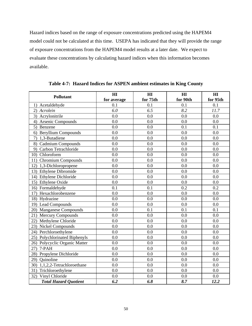Hazard indices based on the range of exposure concentrations predicted using the HAPEM4 model could not be calculated at this time. USEPA has indicated that they will provide the range of exposure concentrations from the HAPEM4 model results at a later date. We expect to evaluate these concentrations by calculating hazard indices when this information becomes available.

| <b>Pollutant</b>              | HI<br>for average | HI<br>for 75th | HI<br>for 90th | H I<br>for 95th |
|-------------------------------|-------------------|----------------|----------------|-----------------|
| 1) Acetaldehyde               | 0.1               | 0.1            | 0.1            | 0.1             |
| Acrolein<br>2)                | 6.0               | 6.5            | 8.2            | 11.7            |
| 3)<br>Acrylonitrile           | 0.0               | 0.0            | 0.0            | 0.0             |
| Arsenic Compounds<br>4)       | 0.0               | 0.0            | 0.0            | 0.0             |
| 5)<br>Benzene                 | 0.0               | 0.0            | 0.1            | 0.1             |
| 6) Beryllium Compounds        | 0.0               | 0.0            | 0.0            | 0.0             |
| 1,3-Butadiene<br>7)           | 0.0               | 0.0            | 0.0            | 0.0             |
| 8) Cadmium Compounds          | 0.0               | 0.0            | 0.0            | 0.0             |
| 9) Carbon Tetrachloride       | 0.0               | 0.0            | 0.0            | 0.0             |
| 10) Chloroform                | 0.0               | 0.0            | 0.0            | 0.0             |
| 11) Chromium Compounds        | 0.0               | 0.0            | 0.0            | 0.0             |
| 12) 1,3-Dichloropropene       | 0.0               | 0.0            | 0.0            | 0.0             |
| 13) Ethylene Dibromide        | 0.0               | 0.0            | 0.0            | 0.0             |
| 14) Ethylene Dichloride       | 0.0               | 0.0            | 0.0            | 0.0             |
| 15) Ethylene Oxide            | 0.0               | 0.0            | 0.0            | 0.0             |
| 16) Formaldehyde              | 0.1               | 0.1            | 0.2            | 0.2             |
| 17) Hexachlorobenzene         | 0.0               | 0.0            | 0.0            | 0.0             |
| 18) Hydrazine                 | 0.0               | 0.0            | 0.0            | 0.0             |
| 19) Lead Compounds            | 0.0               | 0.0            | 0.0            | 0.0             |
| 20) Manganese Compounds       | 0.0               | 0.1            | 0.1            | 0.1             |
| 21) Mercury Compounds         | 0.0               | 0.0            | 0.0            | 0.0             |
| 22) Methylene Chloride        | 0.0               | 0.0            | 0.0            | 0.0             |
| 23) Nickel Compounds          | 0.0               | 0.0            | 0.0            | 0.0             |
| 24) Perchloroethylene         | 0.0               | 0.0            | 0.0            | 0.0             |
| 25) Polychlorinated Biphenyls | 0.0               | 0.0            | 0.0            | 0.0             |
| 26) Polycyclic Organic Matter | 0.0               | 0.0            | 0.0            | 0.0             |
| 7-PAH<br>(27)                 | 0.0               | 0.0            | 0.0            | 0.0             |
| 28) Propylene Dichloride      | 0.0               | 0.0            | 0.0            | 0.0             |
| 29) Quinoline                 | 0.0               | 0.0            | 0.0            | 0.0             |
| 30) 1,1,2,2-Tetrachloroethane | 0.0               | 0.0            | 0.0            | 0.0             |
| 31) Trichloroethylene         | 0.0               | 0.0            | 0.0            | 0.0             |
| Vinyl Chloride<br>32)         | 0.0               | 0.0            | 0.0            | 0.0             |
| <b>Total Hazard Quotient</b>  | 6.2               | 6.8            | 8.7            | 12.2            |

**Table 4-7: Hazard Indices for ASPEN ambient estimates in King County**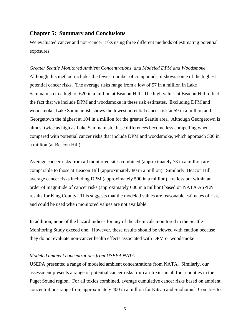#### **Chapter 5: Summary and Conclusions**

We evaluated cancer and non-cancer risks using three different methods of estimating potential exposures.

*Greater Seattle Monitored Ambient Concentrations, and Modeled DPM and Woodsmoke*  Although this method includes the fewest number of compounds, it shows some of the highest potential cancer risks. The average risks range from a low of 57 in a million in Lake Sammamish to a high of 620 in a million at Beacon Hill. The high values at Beacon Hill reflect the fact that we include DPM and woodsmoke in these risk estimates. Excluding DPM and woodsmoke, Lake Sammamish shows the lowest potential cancer risk at 59 in a million and Georgetown the highest at 104 in a million for the greater Seattle area. Although Georgetown is almost twice as high as Lake Sammamish, these differences become less compelling when compared with potential cancer risks that include DPM and woodsmoke, which approach 500 in a million (at Beacon Hill).

Average cancer risks from all monitored sites combined (approximately 73 in a million are comparable to those at Beacon Hill (approximately 80 in a million). Similarly, Beacon Hill average cancer risks including DPM (approximately 500 in a million), are less but within an order of magnitude of cancer risks (approximately 600 in a million) based on NATA ASPEN results for King County. This suggests that the modeled values are reasonable estimates of risk, and could be used when monitored values are not available.

In addition, none of the hazard indices for any of the chemicals monitored in the Seattle Monitoring Study exceed one. However, these results should be viewed with caution because they do not evaluate non-cancer health effects associated with DPM or woodsmoke.

#### *Modeled ambient concentrations from USEPA NATA*

USEPA presented a range of modeled ambient concentrations from NATA. Similarly, our assessment presents a range of potential cancer risks from air toxics in all four counties in the Puget Sound region. For all toxics combined, average cumulative cancer risks based on ambient concentrations range from approximately 400 in a million for Kitsap and Snohomish Counties to

51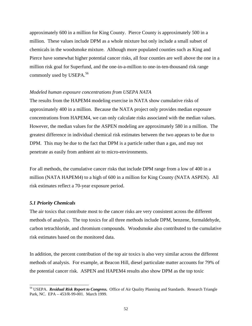approximately 600 in a million for King County. Pierce County is approximately 500 in a million. These values include DPM as a whole mixture but only include a small subset of chemicals in the woodsmoke mixture. Although more populated counties such as King and Pierce have somewhat higher potential cancer risks, all four counties are well above the one in a million risk goal for Superfund, and the one-in-a-million to one-in-ten-thousand risk range commonly used by USEPA.<sup>56</sup>

#### *Modeled human exposure concentrations from USEPA NATA*

The results from the HAPEM4 modeling exercise in NATA show cumulative risks of approximately 400 in a million. Because the NATA project only provides median exposure concentrations from HAPEM4, we can only calculate risks associated with the median values. However, the median values for the ASPEN modeling are approximately 580 in a million. The greatest difference in individual chemical risk estimates between the two appears to be due to DPM. This may be due to the fact that DPM is a particle rather than a gas, and may not penetrate as easily from ambient air to micro-environments.

For all methods, the cumulative cancer risks that include DPM range from a low of 400 in a million (NATA HAPEM4) to a high of 600 in a million for King County (NATA ASPEN). All risk estimates reflect a 70-year exposure period.

#### *5.1 Priority Chemicals*

 $\overline{\phantom{a}}$ 

The air toxics that contribute most to the cancer risks are very consistent across the different methods of analysis. The top toxics for all three methods include DPM, benzene, formaldehyde, carbon tetrachloride, and chromium compounds. Woodsmoke also contributed to the cumulative risk estimates based on the monitored data.

In addition, the percent contribution of the top air toxics is also very similar across the different methods of analysis. For example, at Beacon Hill, diesel particulate matter accounts for 79% of the potential cancer risk. ASPEN and HAPEM4 results also show DPM as the top toxic

<sup>56</sup> USEPA. *Residual Risk Report to Congress.* Office of Air Quality Planning and Standards. Research Triangle Park, NC. EPA – 453/R-99-001. March 1999.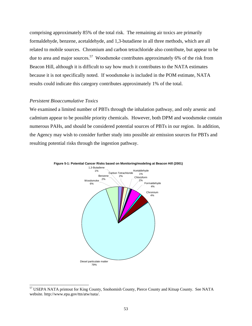comprising approximately 85% of the total risk. The remaining air toxics are primarily formaldehyde, benzene, acetaldehyde, and 1,3-butadiene in all three methods, which are all related to mobile sources. Chromium and carbon tetrachloride also contribute, but appear to be due to area and major sources.<sup>57</sup> Woodsmoke contributes approximately 6% of the risk from Beacon Hill, although it is difficult to say how much it contributes to the NATA estimates because it is not specifically noted. If woodsmoke is included in the POM estimate, NATA results could indicate this category contributes approximately 1% of the total.

#### *Persistent Bioaccumulative Toxics*

 $\overline{\phantom{a}}$ 

We examined a limited number of PBTs through the inhalation pathway, and only arsenic and cadmium appear to be possible priority chemicals. However, both DPM and woodsmoke contain numerous PAHs, and should be considered potential sources of PBTs in our region. In addition, the Agency may wish to consider further study into possible air emission sources for PBTs and resulting potential risks through the ingestion pathway.





<sup>&</sup>lt;sup>57</sup> USEPA NATA printout for King County, Snohomish County, Pierce County and Kitsap County. See NATA website. http://www.epa.gov/ttn/atw/nata/.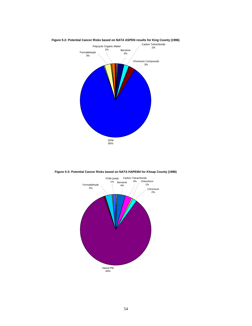

**Figure 5-2: Potential Cancer Risks based on NATA ASPEN results for King County (1996)**



**Figure 5-3: Potential Cancer Risks based on NATA HAPEM4 for Kitsap County (1996)**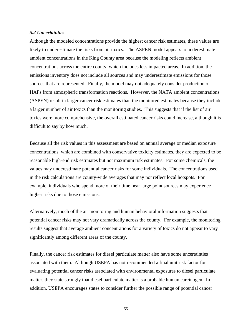#### *5.2 Uncertainties*

Although the modeled concentrations provide the highest cancer risk estimates, these values are likely to underestimate the risks from air toxics. The ASPEN model appears to underestimate ambient concentrations in the King County area because the modeling reflects ambient concentrations across the entire county, which includes less impacted areas. In addition, the emissions inventory does not include all sources and may underestimate emissions for those sources that are represented. Finally, the model may not adequately consider production of HAPs from atmospheric transformation reactions. However, the NATA ambient concentrations (ASPEN) result in larger cancer risk estimates than the monitored estimates because they include a larger number of air toxics than the monitoring studies. This suggests that if the list of air toxics were more comprehensive, the overall estimated cancer risks could increase, although it is difficult to say by how much.

Because all the risk values in this assessment are based on annual average or median exposure concentrations, which are combined with conservative toxicity estimates, they are expected to be reasonable high-end risk estimates but not maximum risk estimates. For some chemicals, the values may underestimate potential cancer risks for some individuals. The concentrations used in the risk calculations are county-wide averages that may not reflect local hotspots. For example, individuals who spend more of their time near large point sources may experience higher risks due to those emissions.

Alternatively, much of the air monitoring and human behavioral information suggests that potential cancer risks may not vary dramatically across the county. For example, the monitoring results suggest that average ambient concentrations for a variety of toxics do not appear to vary significantly among different areas of the county.

Finally, the cancer risk estimates for diesel particulate matter also have some uncertainties associated with them. Although USEPA has not recommended a final unit risk factor for evaluating potential cancer risks associated with environmental exposures to diesel particulate matter, they state strongly that diesel particulate matter is a probable human carcinogen. In addition, USEPA encourages states to consider further the possible range of potential cancer

55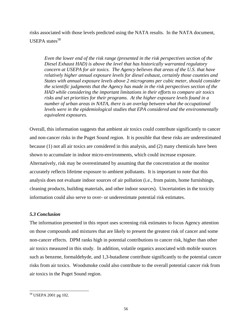risks associated with those levels predicted using the NATA results. In the NATA document, USEPA states $58$ 

*Even the lower end of the risk range (presented in the risk perspectives section of the Diesel Exhaust HAD) is above the level that has historically warranted regulatory concern at USEPA for air toxics. The Agency believes that areas of the U.S. that have relatively higher annual exposure levels for diesel exhaust, certainly those counties and States with annual exposure levels above 2 micrograms per cubic meter, should consider the scientific judgments that the Agency has made in the risk perspectives section of the HAD while considering the important limitations in their efforts to compare air toxics risks and set priorities for their programs. At the higher exposure levels found in a number of urban areas in NATA, there is an overlap between what the occupational levels were in the epidemiological studies that EPA considered and the environmentally equivalent exposures.* 

Overall, this information suggests that ambient air toxics could contribute significantly to cancer and non-cancer risks in the Puget Sound region. It is possible that these risks are underestimated because (1) not all air toxics are considered in this analysis, and (2) many chemicals have been shown to accumulate in indoor micro-environments, which could increase exposure. Alternatively, risk may be overestimated by assuming that the concentration at the monitor accurately reflects lifetime exposure to ambient pollutants. It is important to note that this analysis does not evaluate indoor sources of air pollution (i.e., from paints, home furnishings, cleaning products, building materials, and other indoor sources). Uncertainties in the toxicity information could also serve to over- or underestimate potential risk estimates.

#### *5.3 Conclusion*

The information presented in this report uses screening risk estimates to focus Agency attention on those compounds and mixtures that are likely to present the greatest risk of cancer and some non-cancer effects. DPM ranks high in potential contributions to cancer risk, higher than other air toxics measured in this study. In addition, volatile organics associated with mobile sources such as benzene, formaldehyde, and 1,3-butadiene contribute significantly to the potential cancer risks from air toxics. Woodsmoke could also contribute to the overall potential cancer risk from air toxics in the Puget Sound region.

 $\overline{a}$ 58 USEPA 2001 pg 102.